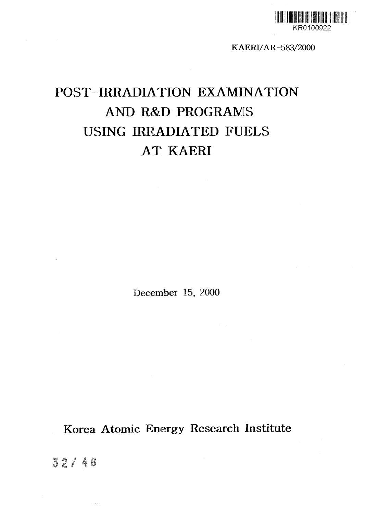

KAERI/AR-583/2000

# POST-IRRADIATION EXAMINATION AND R&D PROGRAMS USING IRRADIATED FUELS AT KAERI

December 15, 2000

Korea Atomic Energy Research Institute

32/48

.<br>. . . . . . .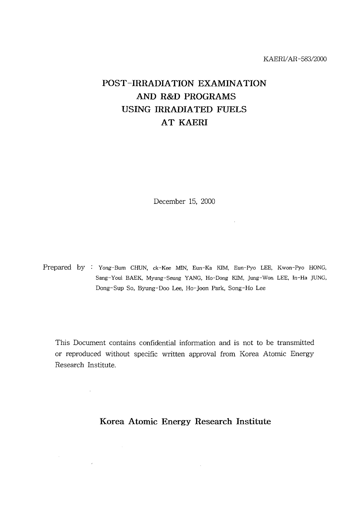#### KAERI/AR-583/2000

### POST-IRRADIATION EXAMINATION AND R&D PROGRAMS USING IRRADIATED FUELS AT KAERI

December 15, 2000

 $\sim 10^7$ 

Prepared by : Yong-Bum CHUN, ck-Kee MIN, Eun-Ka KIM, Eun-Pyo LEE, Kwon-Pyo HONG, Sang-Youl BAEK, Myung-Seung YANG, Ho-Dong KIM, Jung-Won LEE, In-Ha JUNG, Dong-Sup So, Byung-Doo Lee, Ho-Joon Park, Song-Ho Lee

This Document contains confidential information and is not to be transmitted or reproduced without specific written approval from Korea Atomic Energy Research Institute.

### Korea Atomic Energy Research Institute

 $\mathcal{L}_{\rm{max}}$ 

 $\sim 10^{-1}$ 

 $\mathcal{L}(\mathcal{L})$  and  $\mathcal{L}(\mathcal{L})$  .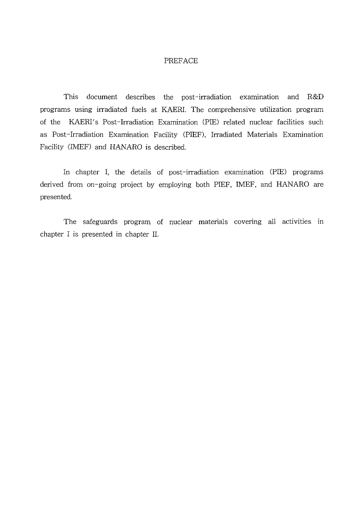#### PREFACE

This document describes the post-irradiation examination and R&D programs using irradiated fuels at KAERI. The comprehensive utilization program of the KAERI's Post-Irradiation Examination (PIE) related nuclear facilities such as Post-Irradiation Examination Facility (PIEF), Irradiated Materials Examination Facility (IMEF) and HANARO is described.

In chapter I, the details of post-irradiation examination (PIE) programs derived from on-going project by employing both PIEF, IMEF, and HANARO are presented.

The safeguards program of nuclear materials covering all activities in chapter I is presented in chapter II.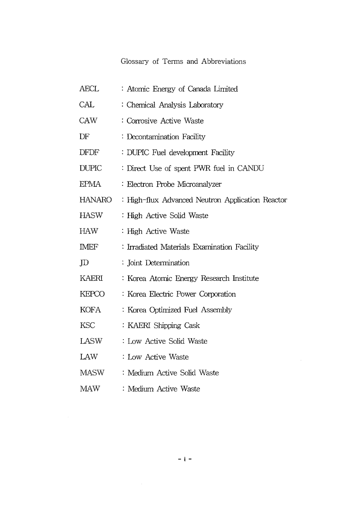#### Glossary of Terms and Abbreviations

AECL : Atomic Energy of Canada Limited

- CAL : Chemical Analysis Laboratory CAW : Corrosive Active Waste DF : Decontamination Facility DFDF : DUPIC Fuel development Facility DUPIC : Direct Use of spent PWR fuel in CANDU EPMA : Electron Probe Microanalyzer HANARO : High-flux Advanced Neutron Application Reactor HASW : High Active Solid Waste HAW : High Active Waste IMEF : Irradiated Materials Examination Facility JD : Joint Determination KAERI : Korea Atomic Energy Research Institute KEPCO : Korea Electric Power Corporation KOFA • Korea Optimized Fuel Assembly KSC : KAERI Shipping Cask LASW : Low Active Solid Waste LAW : Low Active Waste MASW : Medium Active Solid Waste
- MAW : Medium Active Waste

 $- i -$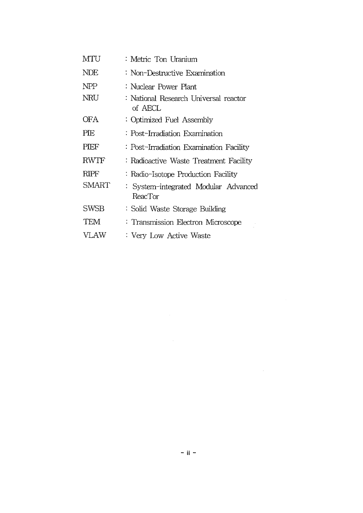| MTU         | : Metric Ton Uranium                             |
|-------------|--------------------------------------------------|
| NDE         | : Non-Destructive Examination                    |
| <b>NPP</b>  | : Nuclear Power Plant                            |
| NRU         | : National Research Universal reactor<br>of AECL |
| OFA         | : Optimized Fuel Assembly                        |
| PIE         | : Post-Irradiation Examination                   |
| PIEF        | : Post-Irradiation Examination Facility          |
| <b>RWTF</b> | : Radioactive Waste Treatment Facility           |
| RIPF        | : Radio-Isotope Production Facility              |
| SMART       | : System-integrated Modular Advanced<br>ReacTor  |
| SWSB        | : Solid Waste Storage Building                   |
| TEM         | : Transmission Electron Microscope               |
| VLAW.       | : Very Low Active Waste                          |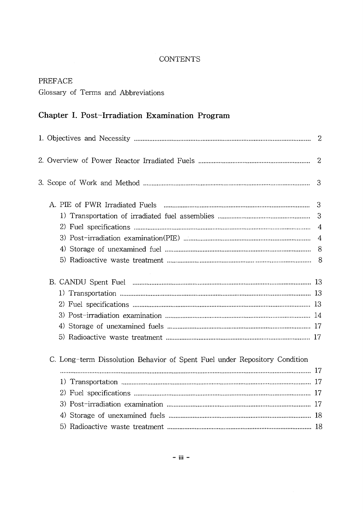### **CONTENTS**

### PREFACE

|  |  |  | Glossary of Terms and Abbreviations |
|--|--|--|-------------------------------------|
|--|--|--|-------------------------------------|

| 2 |                                                                            |                |  |  |  |
|---|----------------------------------------------------------------------------|----------------|--|--|--|
|   |                                                                            | 2              |  |  |  |
|   |                                                                            | 3              |  |  |  |
|   |                                                                            | 3              |  |  |  |
|   |                                                                            | 3              |  |  |  |
|   |                                                                            | $\overline{4}$ |  |  |  |
|   |                                                                            | 4              |  |  |  |
|   |                                                                            |                |  |  |  |
|   |                                                                            | 8              |  |  |  |
|   |                                                                            |                |  |  |  |
|   |                                                                            |                |  |  |  |
|   |                                                                            |                |  |  |  |
|   |                                                                            |                |  |  |  |
|   |                                                                            |                |  |  |  |
|   |                                                                            |                |  |  |  |
|   |                                                                            |                |  |  |  |
|   |                                                                            |                |  |  |  |
|   | C. Long-term Dissolution Behavior of Spent Fuel under Repository Condition |                |  |  |  |
|   |                                                                            |                |  |  |  |
|   |                                                                            |                |  |  |  |
|   |                                                                            |                |  |  |  |
|   |                                                                            |                |  |  |  |
|   |                                                                            |                |  |  |  |
|   |                                                                            |                |  |  |  |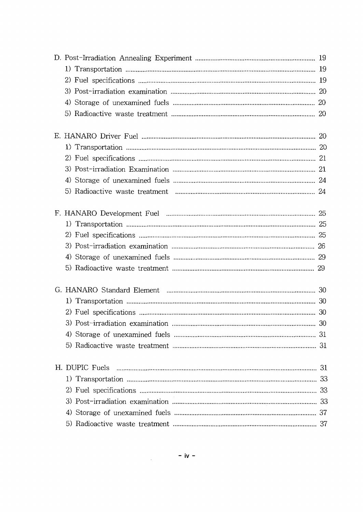| H. DUPIC Fuels |  |
|----------------|--|
|                |  |
|                |  |
|                |  |
|                |  |
|                |  |
|                |  |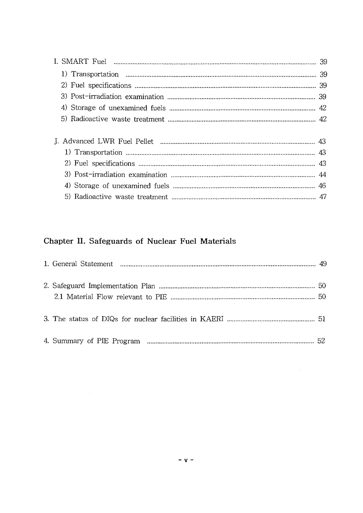### Chapter II. Safeguards of Nuclear Fuel Materials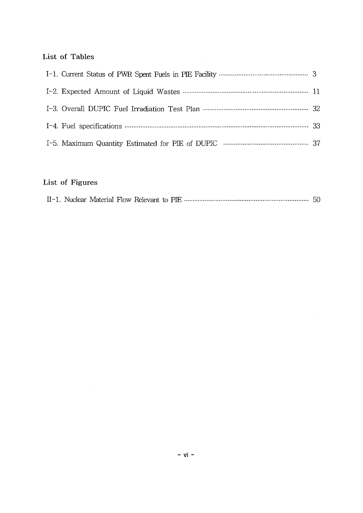### List of Tables

 $\mathcal{L}^{\text{max}}_{\text{max}}$  ,  $\mathcal{L}^{\text{max}}_{\text{max}}$ 

### List of Figures

 $\sim 40^{\circ}$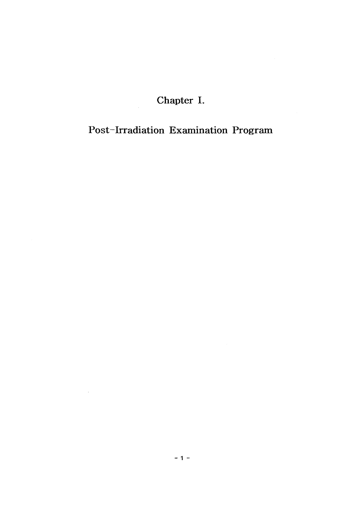## Chapter I.

### Post-Irradiation Examination Program

 $\tilde{\mathcal{A}}$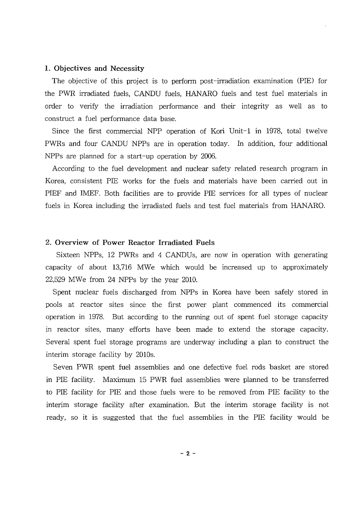#### **1. Objectives and Necessity**

The objective of this project is to perform post-irradiation examination (PIE) for the PWR irradiated fuels, CANDU fuels, HANARO fuels and test fuel materials in order to verify the irradiation performance and their integrity as well as to construct a fuel performance data base.

Since the first commercial NPP operation of Kori Unit-1 in 1978, total twelve PWRs and four CANDU NPPs are in operation today. In addition, four additional NPPs are planned for a start-up operation by 2006.

According to the fuel development and nuclear safety related research program in Korea, consistent PEE works for the fuels and materials have been carried out in PIEF and IMEF. Both facilities are to provide PIE services for all types of nuclear fuels in Korea including the irradiated fuels and test fuel materials from HANARO.

#### 2. **Overview of Power Reactor Irradiated Fuels**

Sixteen NPPs, 12 PWRs and 4 CANDUs, are now in operation with generating capacity of about 13,716 MWe which would be increased up to approximately 22,529 MWe from 24 NPPs by the year 2010.

Spent nuclear fuels discharged from NPPs in Korea have been safely stored in pools at reactor sites since the first power plant commenced its commercial operation in 1978. But according to the running out of spent fuel storage capacity in reactor sites, many efforts have been made to extend the storage capacity. Several spent fuel storage programs are underway including a plan to construct the interim storage facility by 2010s.

Seven PWR spent fuel assemblies and one defective fuel rods basket are stored in PIE facility. Maximum 15 PWR fuel assemblies were planned to be transferred to PIE facility for PIE and those fuels were to be removed from PIE facility to the interim storage facility after examination. But the interim storage facility is not ready, so it is suggested that the fuel assemblies in the PIE facility would be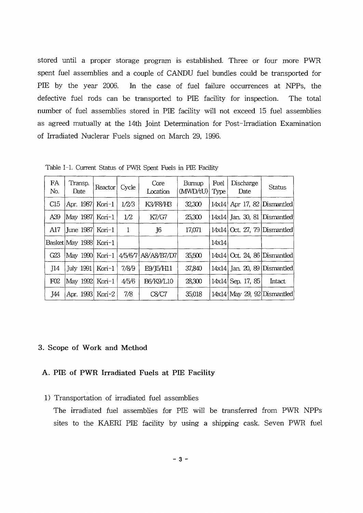stored until a proper storage program is established. Three or four more PWR spent fuel assemblies and a couple of CANDU fuel bundles could be transported for PIE by the year 2006. In the case of fuel failure occurrences at NPPs, the defective fuel rods can be transported to PIE facility for inspection. The total number of fuel assemblies stored in PIE facility will not exceed 15 fuel assemblies as agreed mutually at the 14th Joint Determination for Post-Irradiation Examination of Irradiated Nuclerar Fuels signed on March 29, 1996.

| FA<br>No. | Transp.<br>Date        | Reactor           | Cycle | Core<br>Location    | Bumup<br>(MWD/tU) | Fuel<br>Type | Discharge<br>Date   | Status                         |
|-----------|------------------------|-------------------|-------|---------------------|-------------------|--------------|---------------------|--------------------------------|
| C15       | Apr. 1987  Kori-1      |                   | 1/2/3 | K3/F8/H3            | 32,300            |              |                     | $14x14$ Apr 17, 82 Dismantled  |
| A39       |                        | May 1987 Kori-1   | 1/2   | K7/G7               | 25,300            |              |                     | $14x14$ Jan. 30, 81 Dismantled |
| A17       | June 1987              | Kori-1            | 1     | J6                  | 17,071            |              |                     | $14x14$ Oct. 27, 79 Dismantled |
|           | Basket May 1988 Kori-1 |                   |       |                     |                   | 14x14        |                     |                                |
| G23       | May $1990$ Kori-1      |                   |       | 4/5/6/7 A8/A8/B7/D7 | 35,500            |              |                     | $14x14$ Oct. 24, 86 Dismantled |
| J14       | July 1991              | Kori-1            | 7/8/9 | E9/J5/H11           | 37,840            |              |                     | $14x14$ Jan. 20, 89 Dismantled |
| F02       | May 1992 Kori-1        |                   | 4/5/6 | B6/K9/L10           | 28,300            |              | $14x14$ Sep. 17, 85 | Intact                         |
| J44       |                        | Apr. 1993  Kori-2 | 7/8   | C8/C7               | 35,018            |              |                     | $14x14$ May 29, 92 Dismantled  |

Table I-1. Current Status of PWR Spent Fuels in PIE Facility

#### **3. Scope of Work and Method**

#### **A. PIE of PWR Irradiated Fuels at PIE Facility**

**1)** Transportation of irradiated fuel assemblies

The irradiated fuel assemblies for PIE will be transferred from PWR NPPs sites to the KAERI PIE facility by using a shipping cask. Seven PWR fuel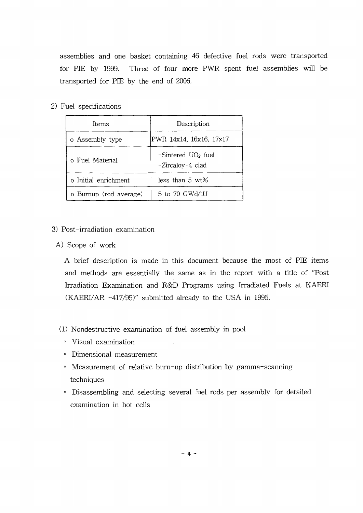assemblies and one basket containing 46 defective fuel rods were transported for PIE by 1999. Three of four more PWR spent fuel assemblies will be transported for PIE by the end of 2006.

2) Fuel specifications

| Items                  | Description                              |
|------------------------|------------------------------------------|
| o Assembly type        | PWR 14x14, 16x16, 17x17                  |
| o Fuel Material        | $-Sintered UO2 fuel$<br>-Zircaloy-4 clad |
| o Initial enrichment   | less than $5 \text{ wt\%}$               |
| o Burnup (rod average) | 5 to 70 GWd/tU                           |

- 3) Post-irradiation examination
- A) Scope of work

A brief description is made in this document because the most of PIE items and methods are essentially the same as in the report with a title of "Post Irradiation Examination and R&D Programs using Irradiated Fuels at KAERI (KAERI/AR -417/95)" submitted already to the USA in 1995.

- (1) Nondestructive examination of fuel assembly in pool
	- 0 Visual examination
	- · Dimensional measurement
	- Measurement of relative burn-up distribution by gamma-scanning techniques
	- · Disassembling and selecting several fuel rods per assembly for detailed examination in hot cells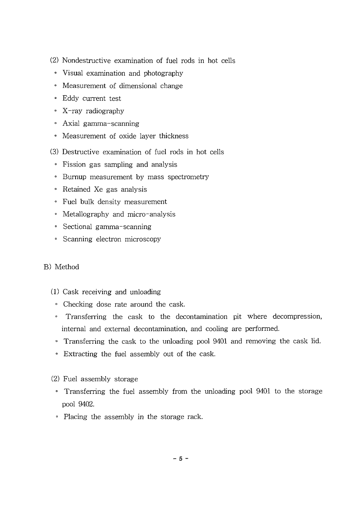(2) Nondestructive examination of fuel rods in hot cells

- ° Visual examination and photography
- ° Measurement of dimensional change
- ° Eddy current test
- ° X-ray radiography
- ° Axial gamma-scanning
- ° Measurement of oxide layer thickness
- (3) Destructive examination of fuel rods in hot cells
	- ° Fission gas sampling and analysis
	- ° Burnup measurement by mass spectrometry
	- ° Retained Xe gas analysis
	- ° Fuel bulk density measurement
	- Metallography and micro-analysis
	- ° Sectional gamma-scanning
	- 0 Scanning electron microscopy

#### B) Method

- (1) Cask receiving and unloading
	- ° Checking dose rate around the cask.
	- ° Transferring the cask to the decontamination pit where decompression, internal and external decontamination, and cooling are performed.
	- ° Transferring the cask to the unloading pool 9401 and removing the cask lid.
	- ° Extracting the fuel assembly out of the cask.

#### (2) Fuel assembly storage

- ° Transferring the fuel assembly from the unloading pool 9401 to the storage pool 9402.
- ° Placing the assembly in the storage rack.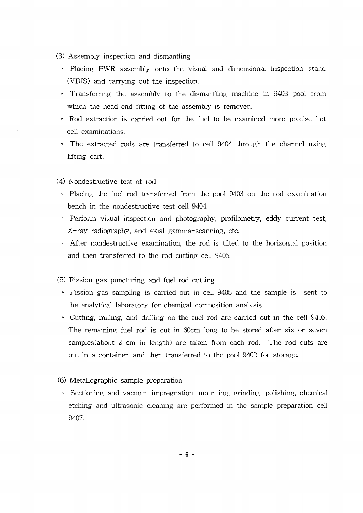- (3) Assembly inspection and dismantling
	- ° Placing PWR assembly onto the visual and dimensional inspection stand (VDIS) and carrying out the inspection.
	- ° Transferring the assembly to the dismantling machine in 9403 pool from which the head end fitting of the assembly is removed.
	- ° Rod extraction is carried out for the fuel to be examined more precise hot cell examinations.
	- ° The extracted rods are transferred to cell 9404 through the channel using lifting cart.
- (4) Nondestructive test of rod
	- ° Placing the fuel rod transferred from the pool 9403 on the rod examination bench in the nondestructive test cell 9404.
	- ° Perform visual inspection and photography, profilometry, eddy current test, X-ray radiography, and axial gamma-scanning, etc.
	- ° After nondestructive examination, the rod is tilted to the horizontal position and then transferred to the rod cutting cell 9405.
- (5) Fission gas puncturing and fuel rod cutting
- ° Fission gas sampling is carried out in cell 9405 and the sample is sent to the analytical laboratory for chemical composition analysis.
- ° Cutting, milling, and drilling on the fuel rod are carried out in the cell 9405. The remaining fuel rod is cut in 60cm long to be stored after six or seven samples(about 2 cm in length) are taken from each rod. The rod cuts are put in a container, and then transferred to the pool 9402 for storage.
- (6) Metallographic sample preparation
	- ° Sectioning and vacuum impregnation, mounting, grinding, polishing, chemical etching and ultrasonic cleaning are performed in the sample preparation cell 9407.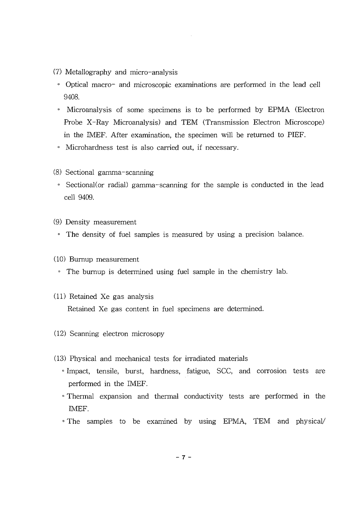(7) Metallography and micro-analysis

- ° Optical macro- and microscopic examinations are performed in the lead cell 9408.
- ° Microanalysis of some specimens is to be performed by EPMA (Electron Probe X-Ray Microanalysis) and TEM (Transmission Electron Microscope) in the IMEF. After examination, the specimen will be returned to PIEF.
- ° Microhardness test is also carried out, if necessary.
- (8) Sectional gamma-scanning
- Sectional (or radial) gamma-scanning for the sample is conducted in the lead cell 9409.
- (9) Density measurement
- ° The density of fuel samples is measured by using a precision balance.
- (10) Burnup measurement
	- ° The burnup is determined using fuel sample in the chemistry lab.
- (11) Retained Xe gas analysis Retained Xe gas content in fuel specimens are determined.
- (12) Scanning electron microsopy
- (13) Physical and mechanical tests for irradiated materials
	- ° Impact, tensile, burst, hardness, fatigue, SCC, and corrosion tests are performed in the IMEF.
	- ° Thermal expansion and thermal conductivity tests are performed in the IMEF.
	- · The samples to be examined by using EPMA, TEM and physical/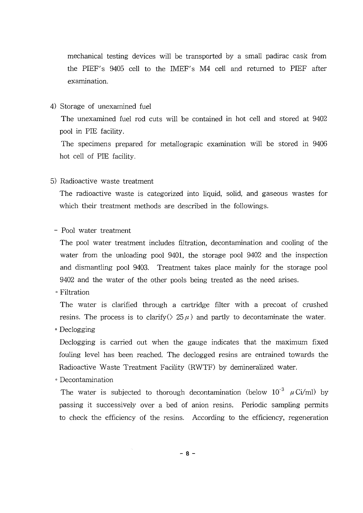mechanical testing devices will be transported by a small padirac cask from the PIEF's 9405 cell to the MEF's M4 cell and returned to PEF after examination.

4) Storage of unexamined fuel

The unexamined fuel rod cuts will be contained in hot cell and stored at 9402 pool in PIE facility.

The specimens prepared for metallograpic examination will be stored in 9406 hot cell of PIE facility.

5) Radioactive waste treatment

The radioactive waste is categorized into liquid, solid, and gaseous wastes for which their treatment methods are described in the followings.

- Pool water treatment

The pool water treatment includes filtration, decontamination and cooling of the water from the unloading pool 9401, the storage pool 9402 and the inspection and dismantling pool 9403. Treatment takes place mainly for the storage pool 9402 and the water of the other pools being treated as the need arises.

° Filtration

The water is clarified through a cartridge filter with a precoat of crushed resins. The process is to clarify( $\geq 25\mu$ ) and partly to decontaminate the water.

° Declogging

Declogging is carried out when the gauge indicates that the maximum fixed fouling level has been reached. The declogged resins are entrained towards the Radioactive Waste Treatment Facility (RWTF) by demineralized water.

· Decontamination

The water is subjected to thorough decontamination (below  $10^{-3}$   $\mu$  Ci/ml) by passing it successively over a bed of anion resins. Periodic sampling permits to check the efficiency of the resins. According to the efficiency, regeneration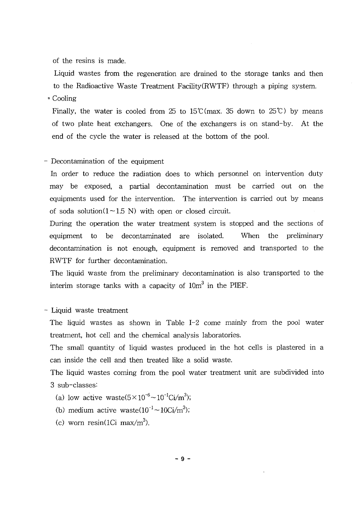of the resins is made.

Liquid wastes from the regeneration are drained to the storage tanks and then to the Radioactive Waste Treatment Facility(RWTF) through a piping system.

° Cooling

Finally, the water is cooled from 25 to 15°C(max. 35 down to 25°C) by means of two plate heat exchangers. One of the exchangers is on stand-by. At the end of the cycle the water is released at the bottom of the pool.

#### Decontamination of the equipment

In order to reduce the radiation does to which personnel on intervention duty may be exposed, a partial decontamination must be carried out on the equipments used for the intervention. The intervention is carried out by means of soda solution $(1 - 1.5 N)$  with open or closed circuit.

During the operation the water treatment system is stopped and the sections of equipment to be decontaminated are isolated. When the preliminary decontamination is not enough, equipment is removed and transported to the RWTF for further decontamination.

The liquid waste from the preliminary decontamination is also transported to the interim storage tanks with a capacity of  $10m<sup>3</sup>$  in the PIEF.

- Liquid waste treatment

The liquid wastes as shown in Table 1-2 come mainly from the pool water treatment, hot cell and the chemical analysis laboratories.

The small quantity of liquid wastes produced in the hot cells is plastered in a can inside the cell and then treated like a solid waste.

The liquid wastes coming from the pool water treatment unit are subdivided into 3 sub-classes:

- (a) low active waste $(5\times10^{-6}\mathtt{\sim}10^{-1}\mathrm{Ci/m^3});$
- (b) medium active waste $(10^{-1}\!\sim\!10\mathrm{Ci/m^3});$
- (c) worn resin(1Ci max/m<sup>3</sup>).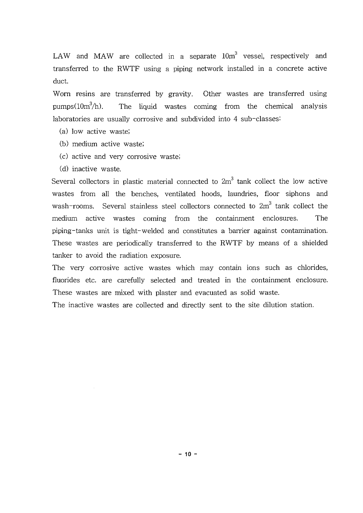LAW and MAW are collected in a separate  $10\mathrm{m}^3$  vessel, respectively and transferred to the RWTF using a piping network installed in a concrete active duct.

Worn resins are transferred by gravity. Other wastes are transferred using pumps $(10m^3/h)$ . The liquid wastes coming from the chemical analysis laboratories are usually corrosive and subdivided into 4 sub-classes:

- (a) low active waste;
- (b) medium active waste;
- (c) active and very corrosive waste!
- (d) inactive waste.

Several collectors in plastic material connected to  $2\mathrm{m}^3$  tank collect the low active wastes from all the benches, ventilated hoods, laundries, floor siphons and wash-rooms. Several stainless steel collectors connected to  $2m<sup>3</sup>$  tank collect the medium active wastes coming from the containment enclosures. The piping-tanks unit is tight-welded and constitutes a barrier against contamination. These wastes are periodically transferred to the RWTF by means of a shielded tanker to avoid the radiation exposure.

The very corrosive active wastes which may contain ions such as chlorides, fluorides etc. are carefully selected and treated in the containment enclosure. These wastes are mixed with plaster and evacuated as solid waste.

The inactive wastes are collected and directly sent to the site dilution station.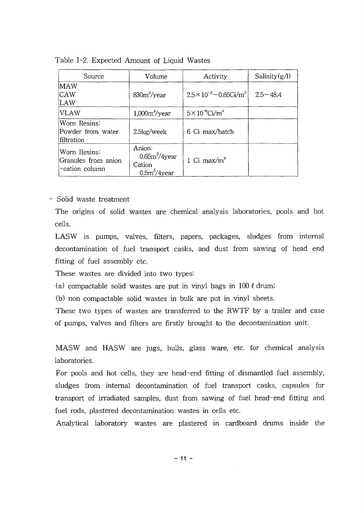| Source                                                | Volume                                                                    | Activity                                     | Salinity $(g/l)$ |
|-------------------------------------------------------|---------------------------------------------------------------------------|----------------------------------------------|------------------|
| lMAW<br>CAW<br>LAW                                    | $830m^3$ /year                                                            | $2.5 \times 10^{-3} \sim 0.65 \text{Ci/m}^3$ | $2.5 - 48.4$     |
| <b>VLAW</b>                                           | 1,000m <sup>3</sup> /year                                                 | $5 \times 10^{-6}$ Ci/m <sup>3</sup>         |                  |
| Worn Resins:<br>Powder from water<br>filtration       | $2.5$ kg/week                                                             | 6 Ci max/batch                               |                  |
| Worn Resins:<br>Granules from anion<br>-cation column | Anion:<br>0.65m <sup>3</sup> /4year<br>Cation<br>0.5m <sup>3</sup> /4year | 1 Ci max/ $m^3$                              |                  |

Table 1-2. Expected Amount of Liquid Wastes

- Solid waste treatment

The origins of solid wastes are chemical analysis laboratories, pools and hot cells.

LASW is pumps, valves, filters, papers, packages, sludges from internal decontamination of fuel transport casks, and dust from sawing of head end fitting of fuel assembly etc.

These wastes are divided into two types:

(a) compactable solid wastes are put in vinyl bags in 100 *i* drum;

(b) non compactable solid wastes in bulk are put in vinyl sheets.

These two types of wastes are transferred to the RWTF by a trailer and case of pumps, valves and filters are firstly brought to the decontamination unit.

MASW and HASW are jugs, hulls, glass ware, etc. for chemical analysis laboratories.

For pools and hot cells, they are head-end fitting of dismantled fuel assembly, sludges from internal decontamination of fuel transport casks, capsules for transport of irradiated samples, dust from sawing of fuel head-end fitting and fuel rods, plastered decontamination wastes in cells etc.

Analytical laboratory wastes are plastered in cardboard drums inside the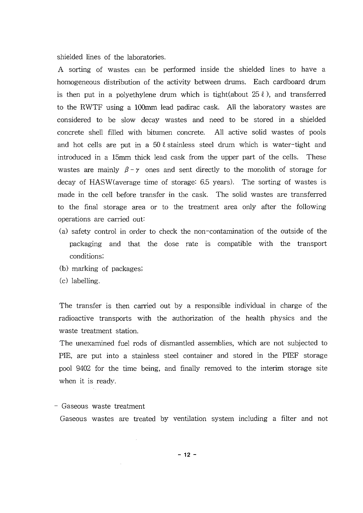shielded lines of the laboratories.

A sorting of wastes can be performed inside the shielded lines to have a homogeneous distribution of the activity between drums. Each cardboard drum is then put in a polyethylene drum which is tight(about  $25 \ell$ ), and transferred to the RWTF using a 100mm lead padirac cask. All the laboratory wastes are considered to be slow decay wastes and need to be stored in a shielded concrete shell filled with bitumen concrete. All active solid wastes of pools and hot cells are put in a  $50 \ell$  stainless steel drum which is water-tight and introduced in a 15mm thick lead cask from the upper part of the cells. These wastes are mainly  $\beta - \gamma$  ones and sent directly to the monolith of storage for decay of  $HASW$ (average time of storage: 6.5 years). The sorting of wastes is made in the cell before transfer in the cask. The solid wastes are transferred to the final storage area or to the treatment area only after the following operations are carried out:

- (a) safety control in order to check the non-contamination of the outside of the packaging and that the dose rate is compatible with the transport conditions;
- (b) marking of packages;
- (c) labelling.

The transfer is then carried out by a responsible individual in charge of the radioactive transports with the authorization of the health physics and the waste treatment station.

The unexamined fuel rods of dismantled assemblies, which are not subjected to PIE, are put into a stainless steel container and stored in the PIEF storage pool 9402 for the time being, and finally removed to the interim storage site when it is ready.

- Gaseous waste treatment

Gaseous wastes are treated by ventilation system including a filter and not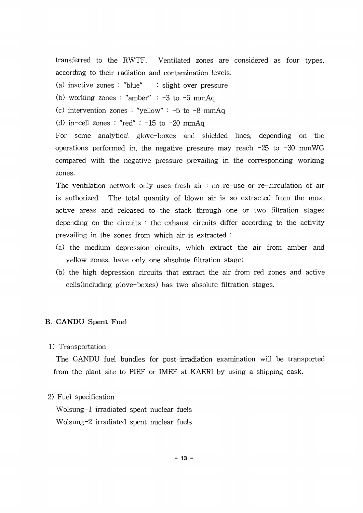transferred to the RWTF. Ventilated zones are considered as four types, according to their radiation and contamination levels.

(a) inactive zones : "blue" : slight over pressure

(b) working zones : "amber" :  $-3$  to  $-5$  mmAq

(c) intervention zones : "vellow" :  $-5$  to  $-8$  mmAq

(d) in-cell zones : "red" :  $-15$  to  $-20$  mmAq

For some analytical glove-boxes and shielded lines, depending on the operations performed in, the negative pressure may reach  $-25$  to  $-30$  mmWG compared with the negative pressure prevailing in the corresponding working zones.

The ventilation network only uses fresh air  $:$  no re-use or re-circulation of air is authorized. The total quantity of blown-air is so extracted from the most active areas and released to the stack through one or two filtration stages depending on the circuits : the exhaust circuits differ according to the activity prevailing in the zones from which air is extracted *'•*

- (a) the medium depression circuits, which extract the air from amber and yellow zones, have only one absolute filtration stage;
- (b) the high depression circuits that extract the air from red zones and active cells (including glove-boxes) has two absolute filtration stages.

#### **B. CANDU Spent Fuel**

**1)** Transportation

The CANDU fuel bundles for post-irradiation examination will be transported from the plant site to PIEF or IMEF at KAERI by using a shipping cask.

#### 2) Fuel specification

Wolsung-1 irradiated spent nuclear fuels Wolsung-2 irradiated spent nuclear fuels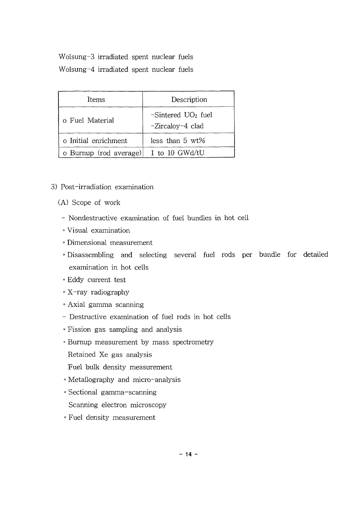Wolsung-3 irradiated spent nuclear fuels Wolsung-4 irradiated spent nuclear fuels

| Items                  | Description                              |  |  |
|------------------------|------------------------------------------|--|--|
| o Fuel Material        | $-Sintered UO2 fuel$<br>-Zircaloy-4 clad |  |  |
| o Initial enrichment   | less than $5 w t$ %                      |  |  |
| o Burnup (rod average) | 1 to 10 GWd/tU                           |  |  |

- 3) Post-irradiation examination
	- (A) Scope of work
		- Nondestructive examination of fuel bundles in hot cell
		- *°* Visual examination
		- *°* Dimensional measurement
		- ° Disassembling and selecting several fuel rods per bundle for detailed examination in hot cells
		- ° Eddy current test
		- ° X-ray radiography
		- ° Axial gamma scanning
		- Destructive examination of fuel rods in hot cells
		- ° Fission gas sampling and analysis
		- ° Burnup measurement by mass spectrometry
		- Retained Xe gas analysis
		- Fuel bulk density measurement
		- ° Metallography and micro-analysis
		- ° Sectional gamma-scanning
			- Scanning electron microscopy
		- ° Fuel density measurement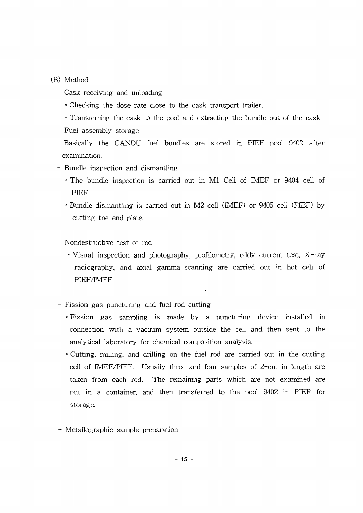#### (B) Method

- Cask receiving and unloading
	- ° Checking the dose rate close to the cask transport trailer.
	- ° Transferring the cask to the pool and extracting the bundle out of the cask

- Fuel assembly storage

Basically the CANDU fuel bundles are stored in PIEF pool 9402 after examination.

#### - Bundle inspection and dismantling

- ° The bundle inspection is carried out in Ml Cell of IMEF or 9404 cell of PIEF.
- ° Bundle dismantling is carried out in M2 cell (IMEF) or 9405 cell (PIEF) by cutting the end plate.
- Nondestructive test of rod
	- ° Visual inspection and photography, profilometry, eddy current test, X-ray radiography, and axial gamma-scanning are carried out in hot cell of PIEF/1MEF
- Fission gas puncturing and fuel rod cutting
	- ° Fission gas sampling is made by a puncturing device installed in connection with a vacuum system outside the cell and then sent to the analytical laboratory for chemical composition analysis.
	- ° Cutting, milling, and drilling on the fuel rod are carried out in the cutting cell of IMEF/PIEF. Usually three and four samples of  $2$ -cm in length are taken from each rod. The remaining parts which are not examined are put in a container, and then transferred to the pool 9402 in PIEF for storage.
- Metallographic sample preparation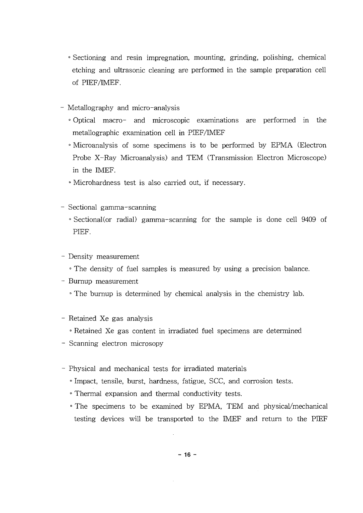- ° Sectioning and resin impregnation, mounting, grinding, polishing, chemical etching and ultrasonic cleaning are performed in the sample preparation cell of PIEF/IMEF.
- Metallography and micro-analysis
	- ° Optical macro- and microscopic examinations are performed in the metallographic examination cell in PIEF/IMEF
	- ° Microanalysis of some specimens is to be performed by EPMA (Electron Probe X-Ray Microanalysis) and TEM (Transmission Electron Microscope) in the IMEF.
	- ° Microhardness test is also carried out, if necessary.
- Sectional gamma-scanning
	- Sectional (or radial) gamma-scanning for the sample is done cell 9409 of PIEF.
- Density measurement
	- ° The density of fuel samples is measured by using a precision balance.
- Burnup measurement
	- ° The burnup is determined by chemical analysis in the chemistry lab.
- Retained Xe gas analysis
	- ° Retained Xe gas content in irradiated fuel specimens are determined
- Scanning electron microsopy
- Physical and mechanical tests for irradiated materials
	- ° Impact, tensile, burst, hardness, fatigue, SCC, and corrosion tests.
	- · Thermal expansion and thermal conductivity tests.
	- · The specimens to be examined by EPMA, TEM and physical/mechanical testing devices will be transported to the IMEF and return to the PIEF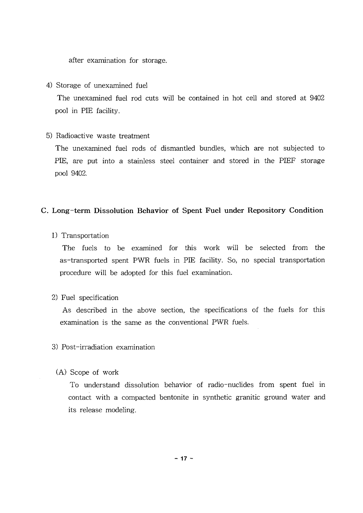after examination for storage.

#### 4) Storage of unexamined fuel

The unexamined fuel rod cuts will be contained in hot cell and stored at 9402 pool in PIE facility.

5) Radioactive waste treatment

The unexamined fuel rods of dismantled bundles, which are not subjected to PIE, are put into a stainless steel container and stored in the PIEF storage pool 9402.

#### **C. Long-term Dissolution Behavior of Spent Fuel under Repository Condition**

**1)** Transportation

The fuels to be examined for this work will be selected from the as-transported spent PWR fuels in PIE facility. So, no special transportation procedure will be adopted for this fuel examination.

#### 2) Fuel specification

As described in the above section, the specifications of the fuels for this examination is the same as the conventional PWR fuels.

- 3) Post-irradiation examination
	- (A) Scope of work

To understand dissolution behavior of radio-nuclides from spent fuel in contact with a compacted bentonite in synthetic granitic ground water and its release modeling.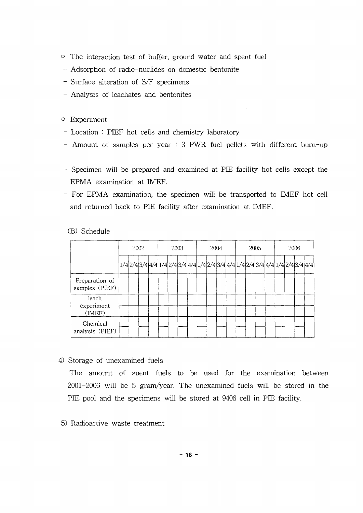- <sup>o</sup> The interaction test of buffer, ground water and spent fuel
- Adsorption of radio-nuclides on domestic bentonite
- Surface alteration of S/F specimens
- Analysis of leachates and bentonites
- o Experiment
- Location "• PIEF hot cells and chemistry laboratory
- Amount of samples per year : 3 PWR fuel pellets with different burn-up
- Specimen will be prepared and examined at PIE facility hot cells except the EPMA examination at IMEF.
- For EPMA examination, the specimen will be transported to IMEF hot cell and returned back to PIE facility after examination at IMEF.

#### (B) Schedule

|                                  | 2002 |  | 2003                                                                                |  | 2004 |  | 2005 |  | 2006 |  |  |  |  |  |  |  |
|----------------------------------|------|--|-------------------------------------------------------------------------------------|--|------|--|------|--|------|--|--|--|--|--|--|--|
|                                  |      |  | $ 1/4 2/4 3/4 4/4 1/4 2/4 3/4 4/4 1/4 2/4 3/4 4/4 1/4 2/4 3/4 4/4 1/4 2/4 3/4 4/4 $ |  |      |  |      |  |      |  |  |  |  |  |  |  |
| Preparation of<br>samples (PIEF) |      |  |                                                                                     |  |      |  |      |  |      |  |  |  |  |  |  |  |
| leach<br>experiment<br>(IMEF)    |      |  |                                                                                     |  |      |  |      |  |      |  |  |  |  |  |  |  |
| Chemical<br>analysis (PIEF)      |      |  |                                                                                     |  |      |  |      |  |      |  |  |  |  |  |  |  |

4) Storage of unexamined fuels

The amount of spent fuels to be used for the examination between 2001-2006 will be 5 gram/year. The unexamined fuels will be stored in the PIE pool and the specimens will be stored at 9406 cell in PIE facility.

5) Radioactive waste treatment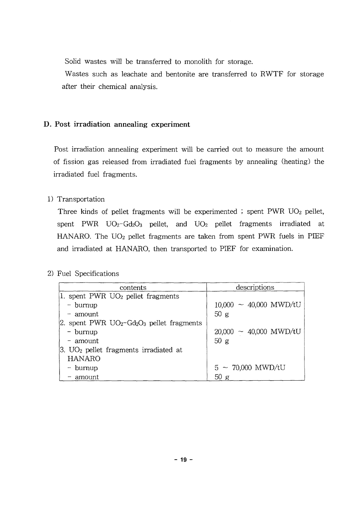Solid wastes will be transferred to monolith for storage.

Wastes such as leachate and bentonite are transferred to RWTF for storage after their chemical analysis.

#### **D. Post irradiation annealing experiment**

Post irradiation annealing experiment will be carried out to measure the amount of fission gas released from irradiated fuel fragments by annealing (heating) the irradiated fuel fragments.

1) Transportation

Three kinds of pellet fragments will be experimented ; spent PWR  $UO<sub>2</sub>$  pellet, spent PWR  $UO_2-Gd_2O_3$  pellet, and  $UO_2$  pellet fragments irradiated at HANARO. The  $UO<sub>2</sub>$  pellet fragments are taken from spent PWR fuels in PIEF and irradiated at HANARO, then transported to PIEF for examination.

2) Fuel Specifications

| contents                                                             | descriptions                        |  |  |  |  |
|----------------------------------------------------------------------|-------------------------------------|--|--|--|--|
| 1. spent PWR $UO2$ pellet fragments                                  |                                     |  |  |  |  |
| - burnup                                                             | $10,000 \sim 40,000 \text{ MWD/tU}$ |  |  |  |  |
| $-$ amount                                                           | 50 g                                |  |  |  |  |
| 2. spent PWR $UO_2$ -Gd <sub>2</sub> O <sub>3</sub> pellet fragments |                                     |  |  |  |  |
| $-$ burnup                                                           | $20,000 \sim 40,000 \text{ MWD/tU}$ |  |  |  |  |
| - amount                                                             | 50g                                 |  |  |  |  |
| $ 3. \text{UO}_2 $ pellet fragments irradiated at                    |                                     |  |  |  |  |
| <b>HANARO</b>                                                        |                                     |  |  |  |  |
| - burnup                                                             | $5 \sim 70,000$ MWD/tU              |  |  |  |  |
| - amount                                                             | 50 g                                |  |  |  |  |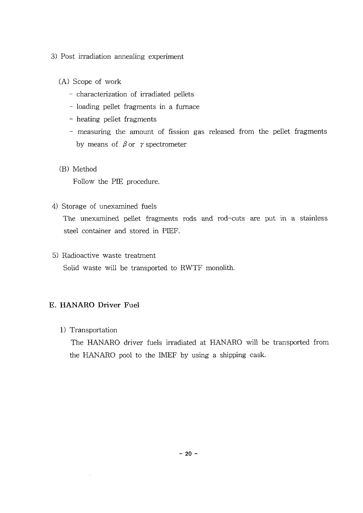- 3) Post irradiation annealing experiment
	- (A) Scope of work
		- characterization of irradiated pellets
		- loading pellet fragments in a furnace
		- heating pellet fragments
		- measuring the amount of fission gas released from the pellet fragments by means of  $\beta$  or  $\gamma$  spectrometer
	- (B) Method

Follow the PIE procedure.

4) Storage of unexamined fuels

The unexamined pellet fragments rods and rod-cuts are put in a stainless steel container and stored in PIEF.

5) Radioactive waste treatment

Solid waste will be transported to RWTF monolith.

#### **E. HANARO Driver Fuel**

**1)** Transportation

l.

The HANARO driver fuels irradiated at HANARO will be transported from the HANARO pool to the IMEF by using a shipping cask.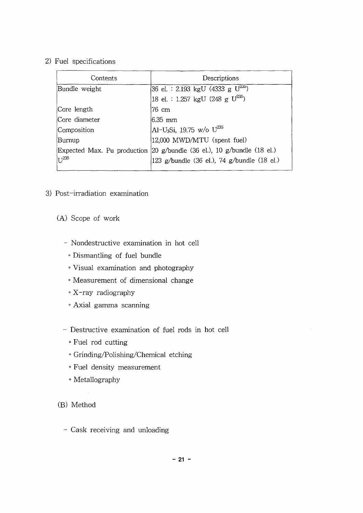#### 2) Fuel specifications

| Contents                    | Descriptions                                                                   |  |  |  |  |
|-----------------------------|--------------------------------------------------------------------------------|--|--|--|--|
| Bundle weight               | 36 el. : 2.193 kgU (4333 g U <sup>235</sup> )                                  |  |  |  |  |
|                             | 18 el. : 1.257 kgU (248 g $U^{235}$ )                                          |  |  |  |  |
| Core length                 | 76 cm                                                                          |  |  |  |  |
| Core diameter               | $6.35$ mm                                                                      |  |  |  |  |
| Composition                 | Al-U <sub>3</sub> Si, 19.75 w/o U <sup>235</sup>                               |  |  |  |  |
| Burnup                      | 12,000 MWD/MTU (spent fuel)                                                    |  |  |  |  |
| Expected Max. Pu production | $[20 \text{ g/bundle} (36 \text{ el.}), 10 \text{ g/bundle} (18 \text{ el.})]$ |  |  |  |  |
| $11^{235}$                  | 123 g/bundle (36 el.), 74 g/bundle (18 el.)                                    |  |  |  |  |
|                             |                                                                                |  |  |  |  |

- 3) Post-irradiation examination
	- (A) Scope of work
		- Nondestructive examination in hot cell
			- ° Dismantling of fuel bundle
			- ° Visual examination and photography
			- ° Measurement of dimensional change
			- ° X-ray radiography
			- ° Axial gamma scanning
		- Destructive examination of fuel rods in hot cell
			- Fuel rod cutting
			- 0 Grinding/Polishing/Chemical etching
			- ° Fuel density measurement
			- ° Metallography
	- (B) Method
		- Cask receiving and unloading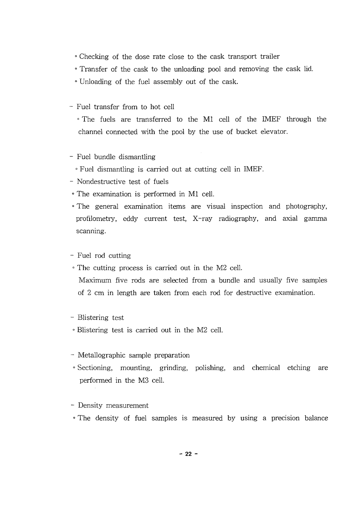- ° Checking of the dose rate close to the cask transport trailer
- ° Transfer of the cask to the unloading pool and removing the cask lid.
- ° Unloading of the fuel assembly out of the cask.
- Fuel transfer from to hot cell

° The fuels are transferred to the Ml cell of the IMEF through the channel connected with the pool by the use of bucket elevator.

#### - Fuel bundle dismantling

- ° Fuel dismantling is carried out at cutting cell in IMEF.
- Nondestructive test of fuels
- ° The examination is performed in Ml cell.
- ° The general examination items are visual inspection and photography, profilometry, eddy current test, X-ray radiography, and axial gamma scanning.

#### - Fuel rod cutting

° The cutting process is carried out in the M2 cell.

Maximum five rods are selected from a bundle and usually five samples of 2 cm in length are taken from each rod for destructive examination.

- Blistering test
- ° Blistering test is carried out in the M2 cell.
- Metallographic sample preparation
- ° Sectioning, mounting, grinding, polishing, and chemical etching are performed in the M3 cell.
- Density measurement
- ° The density of fuel samples is measured by using a precision balance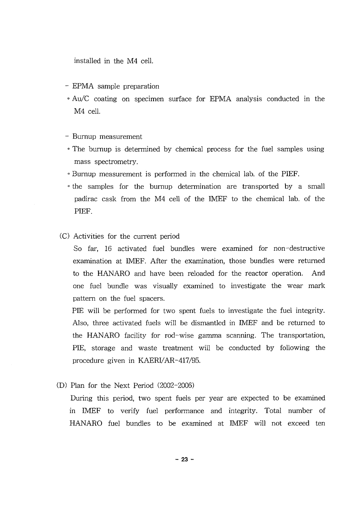installed in the M4 cell.

- EPMA sample preparation
- ° Au/C coating on specimen surface for EPMA analysis conducted in the M4 cell.
- Burnup measurement
- ° The burnup is determined by chemical process for the fuel samples using mass spectrometry.
- ° Burnup measurement is performed in the chemical lab. of the PIEF.
- ° the samples for the burnup determination are transported by a small padirac cask from the M4 cell of the IMEF to the chemical lab. of the PIEF.
- (C) Activities for the current period

So far, 16 activated fuel bundles were examined for non-destructive examination at IMEF. After the examination, those bundles were returned to the HANARO and have been reloaded for the reactor operation. And one fuel bundle was visually examined to investigate the wear mark pattern on the fuel spacers.

PIE will be performed for two spent fuels to investigate the fuel integrity. Also, three activated fuels will be dismantled in IMEF and be returned to the HANARO facility for rod-wise gamma scanning. The transportation, PIE, storage and waste treatment will be conducted by following the procedure given in KAERI/AR-417/95.

(D) Plan for the Next Period (2002-2006)

During this period, two spent fuels per year are expected to be examined in IMEF to verify fuel performance and integrity. Total number of HANARO fuel bundles to be examined at IMEF will not exceed ten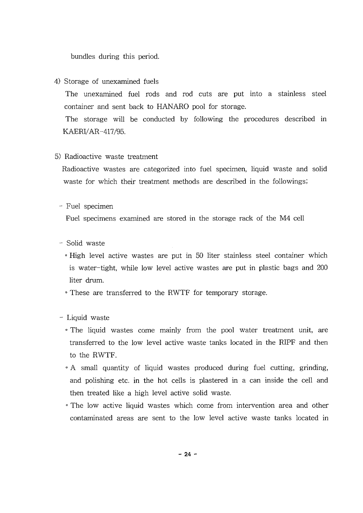bundles during this period.

4) Storage of unexamined fuels

The unexamined fuel rods and rod cuts are put into a stainless steel container and sent back to HANARO pool for storage.

The storage will be conducted by following the procedures described in KAERI/AR-417/95.

5) Radioactive waste treatment

Radioactive wastes are categorized into fuel specimen, liquid waste and solid waste for which their treatment methods are described in the followings;

#### - Fuel specimen

Fuel specimens examined are stored in the storage rack of the M4 cell

- Solid waste
	- ° High level active wastes are put in 50 liter stainless steel container which is water-tight, while low level active wastes are put in plastic bags and 200 liter drum.
	- ° These are transferred to the RWTF for temporary storage.
- Liquid waste
	- ° The liquid wastes come mainly from the pool water treatment unit, are transferred to the low level active waste tanks located in the RIPF and then to the RWTF.
	- ° A small quantity of liquid wastes produced during fuel cutting, grinding, and polishing etc. in the hot cells is plastered in a can inside the cell and then treated like a high level active solid waste.
	- ° The low active liquid wastes which come from intervention area and other contaminated areas are sent to the low level active waste tanks located in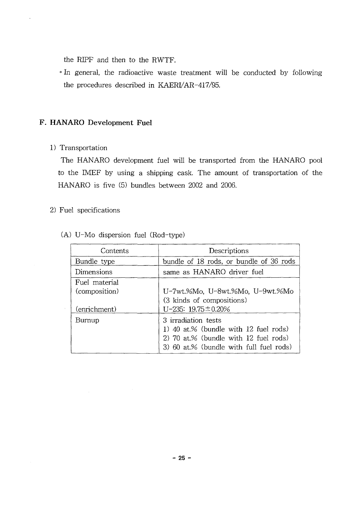the RIPF and then to the RWTF.

· In general, the radioactive waste treatment will be conducted by following the procedures described in KAERI/AR-417/95.

#### **F. HANARO Development Fuel**

#### **1)** Transportation

 $\ddot{\phantom{a}}$ 

The HANARO development fuel will be transported from the HANARO pool to the IMEF by using a shipping cask. The amount of transportation of the HANARO is five (5) bundles between 2002 and 2006.

#### 2) Fuel specifications

 $\bar{\beta}$ 

 $\sim$ 

|  |  |  |  | (A) U-Mo dispersion fuel (Rod-type) |
|--|--|--|--|-------------------------------------|
|--|--|--|--|-------------------------------------|

| Contents                                       | Descriptions                                                                                                                                     |  |  |  |  |
|------------------------------------------------|--------------------------------------------------------------------------------------------------------------------------------------------------|--|--|--|--|
| Bundle type                                    | bundle of 18 rods, or bundle of 36 rods                                                                                                          |  |  |  |  |
| Dimensions                                     | same as HANARO driver fuel                                                                                                                       |  |  |  |  |
| Fuel material<br>(composition)<br>(enrichment) | U-7wt.%Mo, U-8wt.%Mo, U-9wt.%Mo<br>(3 kinds of compositions)<br>$U-235: 19.75 \pm 0.20\%$                                                        |  |  |  |  |
| Burnup                                         | 3 irradiation tests<br>1) 40 at.% (bundle with 12 fuel rods)<br>2) 70 at.% (bundle with 12 fuel rods)<br>3) 60 at.% (bundle with full fuel rods) |  |  |  |  |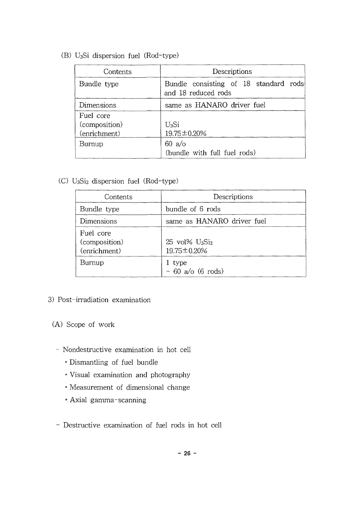(B) U3S1 dispersion fuel (Rod-type)

| Contents      | Descriptions                                                 |  |  |  |  |  |
|---------------|--------------------------------------------------------------|--|--|--|--|--|
| Bundle type   | Bundle consisting of 18 standard rods<br>and 18 reduced rods |  |  |  |  |  |
| Dimensions    | same as HANARO driver fuel                                   |  |  |  |  |  |
| Fuel core     |                                                              |  |  |  |  |  |
| (composition) | U <sub>3</sub> Si                                            |  |  |  |  |  |
| (enrichment)  | 19.75 ± 0.20%                                                |  |  |  |  |  |
| Burnup        | 60 a/o                                                       |  |  |  |  |  |
|               | (bundle with full fuel rods)                                 |  |  |  |  |  |

(C) U3S12 dispersion fuel (Rod-type)

| Contents                                   | Descriptions                       |
|--------------------------------------------|------------------------------------|
| Bundle type                                | bundle of 6 rods                   |
| Dimensions                                 | same as HANARO driver fuel         |
| Fuel core<br>(composition)<br>(enrichment) | $25$ vol% $U_3Si_2$<br>19.75±0.20% |
| Burnup                                     | 1 type<br>$-60$ a/o (6 rods)       |

- 3) Post-irradiation examination
	- (A) Scope of work
		- Nondestructive examination in hot cell
			- · Dismantling of fuel bundle
			- Visual examination and photography
			- Measurement of dimensional change
			- ° Axial gamma-scanning
		- Destructive examination of fuel rods in hot cell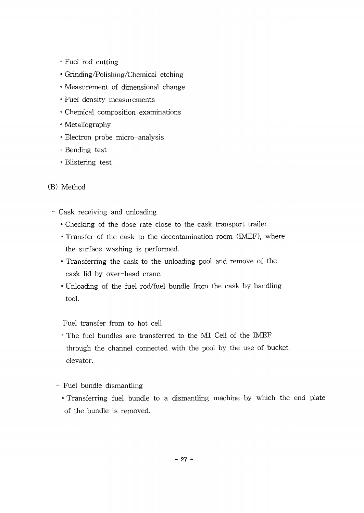- Fuel rod cutting
- ° Grinding/Polishing/Chemical etching
- ° Measurement of dimensional change
- ° Fuel density measurements
- ° Chemical composition examinations
- ° Metallography
- · Electron probe micro-analysis
- ° Bending test
- *'* Blistering test

#### (B) Method

- Cask receiving and unloading
	- ° Checking of the dose rate close to the cask transport trailer
	- Transfer of the cask to the decontamination room (IMEF), where the surface washing is performed.
	- Transferring the cask to the unloading pool and remove of the cask lid by over-head crane.
	- ° Unloading of the fuel rod/fuel bundle from the cask by handling tool.
	- Fuel transfer from to hot cell
		- The fuel bundles are transferred to the M1 Cell of the IMEF through the channel connected with the pool by the use of bucket elevator.
	- Fuel bundle dismantling
		- ° Transferring fuel bundle to a dismantling machine by which the end plate of the bundle is removed.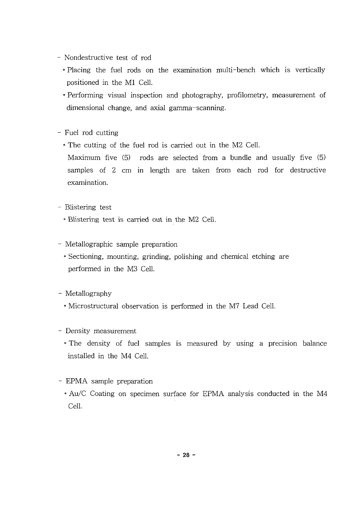- Nondestructive test of rod
	- ° Placing the fuel rods on the examination multi-bench which is vertically positioned in the Ml Cell.
	- ° Performing visual inspection and photography, profilometry, measurement of dimensional change, and axial gamma-scanning.

- Fuel rod cutting

- ° The cutting of the fuel rod is carried out in the M2 Cell.
- Maximum five (5) rods are selected from a bundle and usually five (5) samples of 2 cm in length are taken from each rod for destructive examination.
- Blistering test
	- Blistering test is carried out in the M2 Cell.

• Metallographic sample preparation

° Sectioning, mounting, grinding, polishing and chemical etching are performed in the M3 Cell.

- Metallography

- ° Microstructural observation is performed in the M7 Lead Cell.
- Density measurement
	- ° The density of fuel samples is measured by using a precision balance installed in the M4 Cell.
- EPMA sample preparation
	- Au/C Coating on specimen surface for EPMA analysis conducted in the M4 Cell.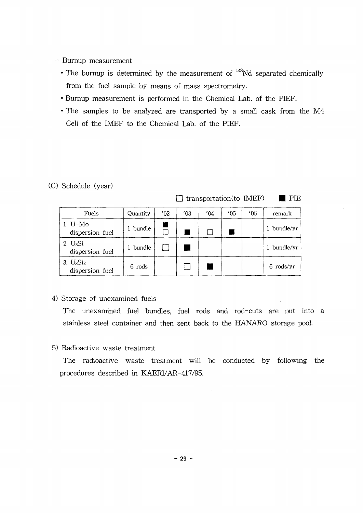- Burnup measurement
	- The burnup is determined by the measurement of <sup>148</sup>Nd separated chemically from the fuel sample by means of mass spectrometry.
	- ° Burnup measurement is performed in the Chemical Lab. of the PIEF.
	- ° The samples to be analyzed are transported by a small cask from the M4 Cell of the IMEF to the Chemical Lab. of the PIEF.

 $\Box$  transportation(to IMEF)  $\blacksquare$  PIE

(C) Schedule (year)

| Fuels                                   | Quantity | 102 | '03 | ′04 | '05 | 106 | remark      |
|-----------------------------------------|----------|-----|-----|-----|-----|-----|-------------|
| $1. U-Mo$<br>dispersion fuel            | 1 bundle |     |     |     |     |     | 1 bundle/yr |
| 2. U <sub>3</sub> Si<br>dispersion fuel | 1 bundle |     |     |     |     |     | 1 bundle/yr |
| 3. $U_3Si_2$<br>dispersion fuel         | 6 rods   |     |     |     |     |     | $6$ rods/yr |

#### 4) Storage of unexamined fuels

The unexamined fuel bundles, fuel rods and rod-cuts are put into a stainless steel container and then sent back to the HANARO storage pool.

5) Radioactive waste treatment

The radioactive waste treatment will be conducted by following the procedures described in KAERI/AR-417/95.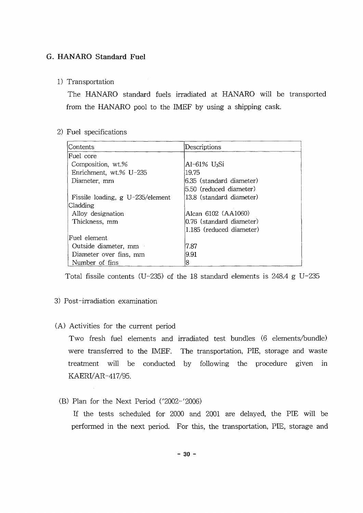#### **G. HANARO Standard Fuel**

#### 1) Transportation

The HANARO standard fuels irradiated at HANARO will be transported from the HANARO pool to the IMEF by using a shipping cask.

#### 2) Fuel specifications

| Contents                           | Descriptions              |  |  |
|------------------------------------|---------------------------|--|--|
| Fuel_core                          |                           |  |  |
| Composition, wt.%                  | Al-61% U <sub>3</sub> Si  |  |  |
| Enrichment, wt.% U-235             | 19.75                     |  |  |
| Diameter, mm                       | 6.35 (standard diameter)  |  |  |
|                                    | 5.50 (reduced diameter)   |  |  |
| Fissile loading, $g$ U-235/element | 13.8 (standard diameter)  |  |  |
| Cladding                           |                           |  |  |
| Alloy designation                  | Alcan 6102 (AA1060)       |  |  |
| Thickness, mm                      | 10.76 (standard diameter) |  |  |
|                                    | 1.185 (reduced diameter)  |  |  |
| Fuel element                       |                           |  |  |
| Outside diameter, mm               | 17.87                     |  |  |
| Diameter over fins, mm             | 19.91                     |  |  |
| Number of fins                     | 8                         |  |  |

Total fissile contents (U-235) of the 18 standard elements is 248.4 g U-235

#### 3) Post-irradiation examination

(A) Activities for the current period

Two fresh fuel elements and irradiated test bundles (6 elements/bundle) were transferred to the IMEF. The transportation, PIE, storage and waste treatment will be conducted by following the procedure given in KAERI/AR-417/95.

(B) Plan for the Next Period ('2002-'2006)

If the tests scheduled for 2000 and 2001 are delayed, the PIE will be performed in the next period. For this, the transportation, PIE, storage and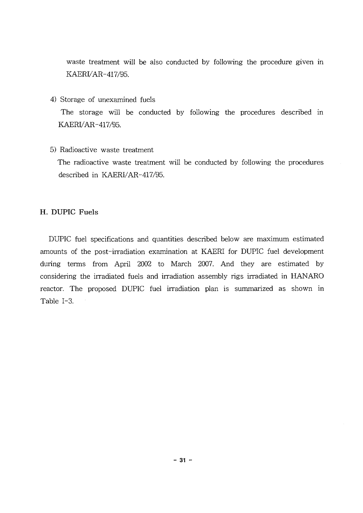waste treatment will be also conducted by following the procedure given in KAERI/AR-417/95.

4) Storage of unexamined fuels

The storage will be conducted by following the procedures described in KAERI/AR-417/95.

5) Radioactive waste treatment

The radioactive waste treatment will be conducted by following the procedures described in KAERI/AR-417/95.

**H. DUPIC Fuels**

DUPIC fuel specifications and quantities described below are maximum estimated amounts of the post-irradiation examination at KAERI for DUPIC fuel development during terms from April 2002 to March 2007. And they are estimated by considering the irradiated fuels and irradiation assembly rigs irradiated in HANARO reactor. The proposed DUPIC fuel irradiation plan is summarized as shown in Table 1-3.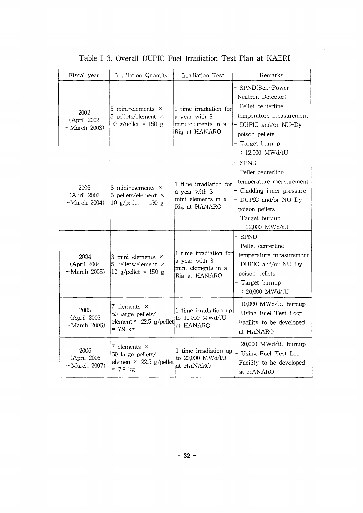|  |  |  |  | Table I-3. Overall DUPIC Fuel Irradiation Test Plan at KAERI |  |  |  |  |
|--|--|--|--|--------------------------------------------------------------|--|--|--|--|
|--|--|--|--|--------------------------------------------------------------|--|--|--|--|

| Fiscal year                                | Irradiation Quantity                                                                     | Irradiation Test                                                               | Remarks                                                                                                                                                                    |
|--------------------------------------------|------------------------------------------------------------------------------------------|--------------------------------------------------------------------------------|----------------------------------------------------------------------------------------------------------------------------------------------------------------------------|
| 2002<br>(April 2002<br>$-March$ 2003)      | 3 mini-elements $\times$<br>5 pellets/element $\times$<br>10 g/pellet = $150$ g          | 1 time irradiation for<br>a year with 3<br>mini-elements in a<br>Rig at HANARO | - SPND(Self-Power<br>Neutron Detector)<br>- Pellet centerline<br>temperature measurement<br>- DUPIC and/or NU-Dy<br>poison pellets<br>- Target burnup<br>: 12,000 MWd/tU   |
| 2003<br>(April 2003<br>$~\sim$ March 2004) | 3 mini-elements ×<br>5 pellets/element $\times$<br>10 g/pellet = $150$ g                 | 1 time irradiation for<br>a year with 3<br>mini-elements in a<br>Rig at HANARO | <b>SPND</b><br>- Pellet centerline<br>temperature measurement<br>- Cladding inner pressure<br>- DUPIC and/or NU-Dy<br>poison pellets<br>- Target burnup<br>: 12,000 MWd/tU |
| 2004<br>(April 2004<br>$~\sim$ March 2005) | 3 mini-elements $\times$<br>5 pellets/element $\times$<br>10 g/pellet = $150$ g          | 1 time irradiation for<br>a year with 3<br>mini-elements in a<br>Rig at HANARO | - SPND<br>- Pellet centerline<br>temperature measurement<br>- DUPIC and/or NU-Dy<br>poison pellets<br>Target burnup<br>: 20,000 MWd/tU                                     |
| 2005<br>(April 2005<br>$~\sim$ March 2006) | 7 elements $\times$<br>50 large pellets/<br>element $\times$ 22.5 g/pellet<br>$= 7.9$ kg | 1 time irradiation up<br>to 10,000 MWd/tU<br>at HANARO                         | 10,000 MWd/tU burnup<br>- Using Fuel Test Loop<br>Facility to be developed<br>at HANARO                                                                                    |
| 2006<br>(April 2006<br>$~\sim$ March 2007) | 7 elements $\times$<br>50 large pellets/<br>element $\times$ 22.5 g/pellet<br>$= 7.9$ kg | 1 time irradiation up<br>to 20,000 MWd/tU<br>at HANARO                         | $-$ 20,000 MWd/tU burnup<br>Using Fuel Test Loop<br>Facility to be developed<br>at HANARO                                                                                  |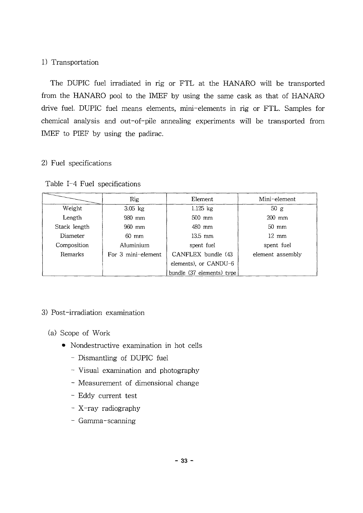#### 1) Transportation

The DUPIC fuel irradiated in rig or FTL at the HANARO will be transported from the HANARO pool to the IMEF by using the same cask as that of HANARO drive fuel. DUPIC fuel means elements, mini-elements in rig or FTL. Samples for chemical analysis and out-of-pile annealing experiments will be transported from IMEF to PIEF by using the padirac.

#### 2) Fuel specifications

Table 1-4 Fuel specifications

|              | Rig                | Element                   | Mini-element     |
|--------------|--------------------|---------------------------|------------------|
| Weight       | $3.05$ $kg$        | $1.125$ kg                | 50 g             |
| Length       | 980 mm             | $500$ mm                  | $200$ mm         |
| Stack length | 960 mm             | 480 mm                    | $50 \text{ mm}$  |
| Diameter     | $60 \text{ mm}$    | $13.5 \text{ mm}$         | $12 \text{ mm}$  |
| Composition  | Aluminium          | spent fuel                | spent fuel       |
| Remarks      | For 3 mini-element | CANFLEX bundle (43)       | element assembly |
|              |                    | elements), or CANDU-6     |                  |
|              |                    | bundle (37 elements) type |                  |

#### 3) Post-irradiation examination

- (a) Scope of Work
	- Nondestructive examination in hot cells
		- Dismantling of DUPIC fuel
		- Visual examination and photography
		- Measurement of dimensional change
		- Eddy current test
		- X-ray radiography
		- Gamma-scanning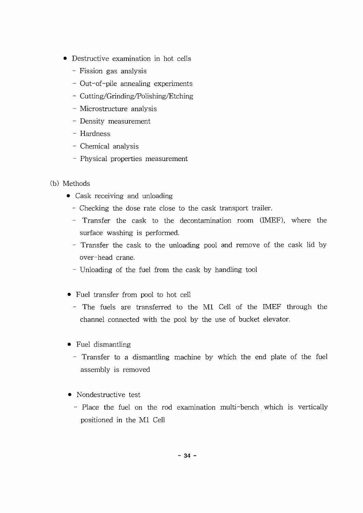- Destructive examination in hot cells
	- Fission gas analysis
	- Out-of-pile annealing experiments
	- Cutting/Grinding/Polishing/Etching
	- Microstructure analysis
	- Density measurement
	- Hardness
	- Chemical analysis
	- Physical properties measurement
- (b) Methods
	- Cask receiving and unloading
		- Checking the dose rate close to the cask transport trailer.
		- Transfer the cask to the decontamination room (IMEF), where the surface washing is performed.
		- Transfer the cask to the unloading pool and remove of the cask lid by over-head crane.
		- Unloading of the fuel from the cask by handling tool
	- Fuel transfer from pool to hot cell
		- The fuels are transferred to the Ml Cell of the IMEF through the channel connected with the pool by the use of bucket elevator.
	- Fuel dismantling
		- Transfer to a dismantling machine by which the end plate of the fuel assembly is removed
	- Nondestructive test
		- Place the fuel on the rod examination multi-bench which is vertically positioned in the Ml Cell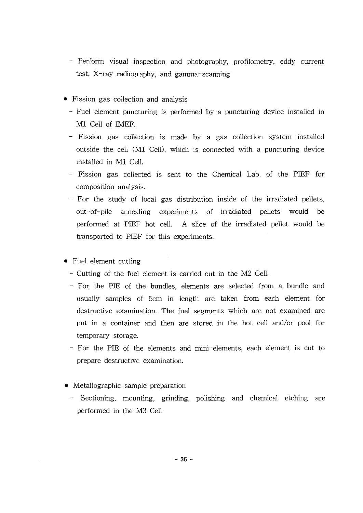- Perform visual inspection and photography, profilometry, eddy current test, X-ray radiography, and gamma-scanning
- Fission gas collection and analysis
	- Fuel element puncturing is performed by a puncturing device installed in Ml Cell of MEF.
	- Fission gas collection is made by a gas collection system installed outside the cell (Ml Cell), which is connected with a puncturing device installed in Ml Cell.
	- Fission gas collected is sent to the Chemical Lab. of the PIEF for composition analysis.
	- For the study of local gas distribution inside of the irradiated pellets, out-of-pile annealing experiments of irradiated pellets would be performed at PIEF hot cell. A slice of the irradiated pellet would be transported to PIEF for this experiments.
- Fuel element cutting
	- Cutting of the fuel element is carried out in the M2 Cell.
	- For the PIE of the bundles, elements are selected from a bundle and usually samples of 5cm in length are taken from each element for destructive examination. The fuel segments which are not examined are put in a container and then are stored in the hot cell and/or pool for temporary storage.
	- For the PIE of the elements and mini-elements, each element is cut to prepare destructive examination.
- 1 Metallographic sample preparation
	- Sectioning, mounting, grinding, polishing and chemical etching are performed in the M3 Cell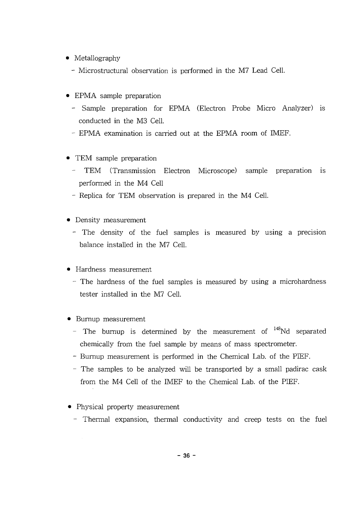- Metallography
	- Microstructural observation is performed in the M7 Lead Cell.
- EPMA sample preparation
	- Sample preparation for EPMA (Electron Probe Micro Analyzer) is conducted in the M3 Cell.
	- EPMA examination is carried out at the EPMA room of IMEF.
- TEM sample preparation
	- TEM (Transmission Electron Microscope) sample preparation is performed in the M4 Cell
	- Replica for TEM observation is prepared in the M4 Cell.
- Density measurement
	- The density of the fuel samples is measured by using a precision balance installed in the M7 Cell.
- Hardness measurement
	- The hardness of the fuel samples is measured by using a microhardness tester installed in the M7 Cell.
- Burnup measurement
	- The burnup is determined by the measurement of  $^{148}$ Nd separated chemically from the fuel sample by means of mass spectrometer.
	- Burnup measurement is performed in the Chemical Lab. of the PIEF.
	- The samples to be analyzed will be transported by a small padirac cask from the M4 Cell of the IMEF to the Chemical Lab. of the PIEF.
- Physical property measurement
	- Thermal expansion, thermal conductivity and creep tests on the fuel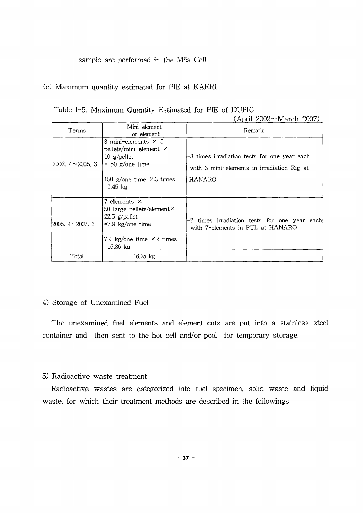#### sample are performed in the M5a Cell

#### (c) Maximum quantity estimated for PIE at KAERI

|  | Table I-5. Maximum Quantity Estimated for PIE of DUPIC |  |  |  |  |  |  |
|--|--------------------------------------------------------|--|--|--|--|--|--|
|--|--------------------------------------------------------|--|--|--|--|--|--|

|                          |                                                                                                                                                                     | (April 2002~March 2007)                                                                              |
|--------------------------|---------------------------------------------------------------------------------------------------------------------------------------------------------------------|------------------------------------------------------------------------------------------------------|
| Terms                    | Mini-element<br>or element                                                                                                                                          | Remark                                                                                               |
| $[2002, 4 \sim 2005, 3]$ | 3 mini-elements $\times$ 5<br>pellets/mini-element $\times$<br>$10 \text{ g/pelle}$ t<br>$=150$ g/one time<br>150 g/one time $\times$ 3 times<br>$=0.45 \text{ kg}$ | -3 times irradiation tests for one year each<br>with 3 mini-elements in irradiation Rig at<br>HANARO |
| $12005.4 \sim 2007.3$    | 7 elements $\times$<br>50 large pellets/element $\times$<br>$22.5$ g/pellet<br>$=7.9$ kg/one time<br>7.9 kg/one time $\times$ 2 times<br>$=15.86$ kg                | -2 times irradiation tests for one year each<br>with 7-elements in FTL at HANARO                     |
| Total                    | $16.25$ kg                                                                                                                                                          |                                                                                                      |

#### 4) Storage of Unexamined Fuel

The unexamined fuel elements and element-cuts are put into a stainless steel container and then sent to the hot cell and/or pool for temporary storage.

#### 5) Radioactive waste treatment

Radioactive wastes are categorized into fuel specimen, solid waste and liquid waste, for which their treatment methods are described in the followings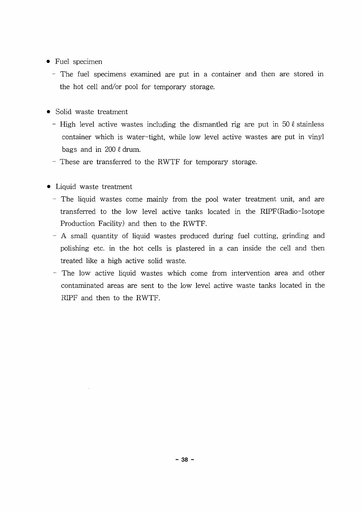- Fuel specimen
	- The fuel specimens examined are put in a container and then are stored in the hot cell and/or pool for temporary storage.
- Solid waste treatment
	- High level active wastes including the dismantled rig are put in 50  $\ell$  stainless container which is water-tight, while low level active wastes are put in vinyl bags and in 200 *I* drum.
	- These are transferred to the RWTF for temporary storage.
- Liquid waste treatment
	- The liquid wastes come mainly from the pool water treatment unit, and are transferred to the low level active tanks located in the RIPF(Radio-Isotope Production Facility) and then to the RWTF.
	- A small quantity of liquid wastes produced during fuel cutting, grinding and polishing etc. in the hot cells is plastered in a can inside the cell and then treated like a high active solid waste.
	- The low active liquid wastes which come from intervention area and other contaminated areas are sent to the low level active waste tanks located in the RIPF and then to the RWTF.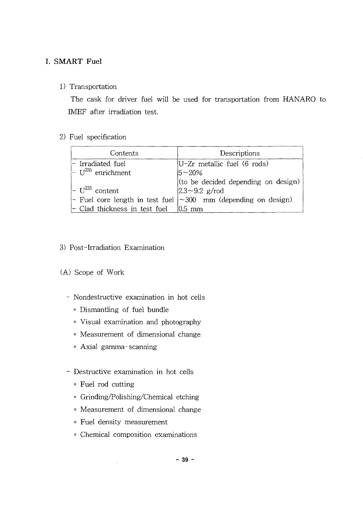#### **I. SMART Fuel**

1) Transportation

The cask for driver fuel will be used for transportation from HANARO to IMEF after irradiation test.

#### 2) Fuel specification

| Contents                                             | Descriptions                                                         |
|------------------------------------------------------|----------------------------------------------------------------------|
| - Irradiated fuel                                    | $U-Zr$ metallic fuel (6 rods)                                        |
| $\vert$ - U <sup>235</sup> enrichment                | 15~20%                                                               |
|                                                      | (to be decided depending on design)                                  |
| $\vert$ - U <sup>235</sup> content                   | $ 2.3 - 9.2$ g/rod                                                   |
|                                                      | - Fuel core length in test fuel $ \sim 300$ mm (depending on design) |
| $\vert$ - Clad thickness in test fuel $\vert$ 0.5 mm |                                                                      |

#### 3) Post-Irradiation Examination

#### (A) Scope of Work

- Nondestructive examination in hot cells
	- 0 Dismantling of fuel bundle
	- ° Visual examination and photography
	- ° Measurement of dimensional change
	- ° Axial gamma-scanning
- Destructive examination in hot cells
	- Fuel rod cutting
	- ° Grinding/Polishing/Chemical etching
	- ° Measurement of dimensional change
	- ° Fuel density measurement

 $\sim$ 

° Chemical composition examinations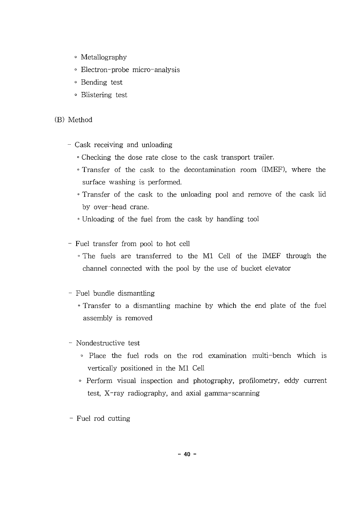- Metallography
- ° Electron-probe micro-analysis
- Bending test
- ° Blistering test

#### (B) Method

- Cask receiving and unloading
	- ° Checking the dose rate close to the cask transport trailer.
	- ° Transfer of the cask to the decontamination room (IMEF), where the surface washing is performed.
	- ° Transfer of the cask to the unloading pool and remove of the cask lid by over-head crane.
	- ° Unloading of the fuel from the cask by handling tool
- Fuel transfer from pool to hot cell
	- The fuels are transferred to the Ml Cell of the IMEF through the channel connected with the pool by the use of bucket elevator
- Fuel bundle dismantling
	- ° Transfer to a dismantling machine by which the end plate of the fuel assembly is removed
- Nondestructive test
	- ° Place the fuel rods on the rod examination multi-bench which is vertically positioned in the Ml Cell
	- ° Perform visual inspection and photography, profilometry, eddy current test, X-ray radiography, and axial gamma-scanning
- Fuel rod cutting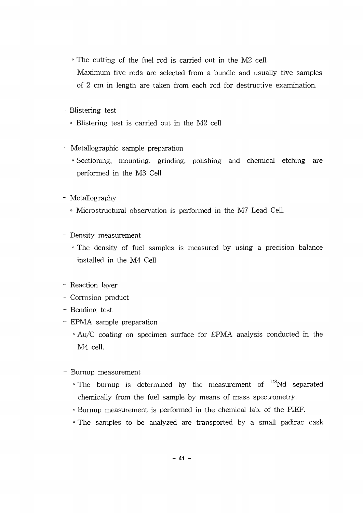° The cutting of the fuel rod is carried out in the M2 cell. Maximum five rods are selected from a bundle and usually five samples of 2 cm in length are taken from each rod for destructive examination.

#### - Blistering test

- ° Blistering test is carried out in the M2 cell
- Metallographic sample preparation
	- ° Sectioning, mounting, grinding, polishing and chemical etching are performed in the M3 Cell
- Metallography
	- ° Microstructural observation is performed in the M7 Lead Cell.
- Density measurement
	- ° The density of fuel samples is measured by using a precision balance installed in the M4 Cell.

#### - Reaction layer

- Corrosion product
- Bending test
- EPMA sample preparation
	- ° Au/C coating on specimen surface for EPMA analysis conducted in the M4 cell.
- Burnup measurement
	- $\,^{\circ}$  The burnup is determined by the measurement of  $^{148}\rm{Nd}$  separated chemically from the fuel sample by means of mass spectrometry.
	- ° Burnup measurement is performed in the chemical lab. of the PIEF.
	- ° The samples to be analyzed are transported by a small padirac cask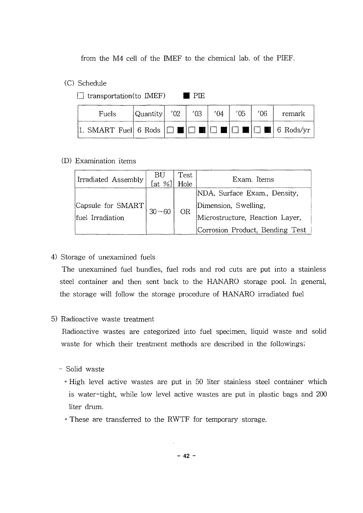from the M4 cell of the MEF to the chemical lab. of the PIEF.

#### (C) Schedule

|  | $\Box$ transportation(to IMEF) |              | I PIE |     |     |     |        |
|--|--------------------------------|--------------|-------|-----|-----|-----|--------|
|  | Fuels                          | Quantity 702 | '03   | '04 | '05 | '06 | remark |
|  |                                |              |       |     |     |     |        |

#### (D) Examination items

| Irradiated Assembly | BU<br>[at % | Test<br>Hole | Exam. Items                     |  |  |
|---------------------|-------------|--------------|---------------------------------|--|--|
|                     |             | ΟR           | NDA, Surface Exam., Density,    |  |  |
| Capsule for SMART   | $30 - 60$   |              | Dimension, Swelling,            |  |  |
| fuel Irradiation    |             |              | Microstructure, Reaction Layer, |  |  |
|                     |             |              | Corrosion Product, Bending Test |  |  |

#### 4) Storage of unexamined fuels

The unexamined fuel bundles, fuel rods and rod cuts are put into a stainless steel container and then sent back to the HANARO storage pool. In general, the storage will follow the storage procedure of HANARO irradiated fuel

#### 5) Radioactive waste treatment

Radioactive wastes are categorized into fuel specimen, liquid waste and solid waste for which their treatment methods are described in the followings;

- Solid waste
	- ° High level active wastes are put in 50 liter stainless steel container which is water-tight, while low level active wastes are put in plastic bags and 200 liter drum.
	- 0 These are transferred to the RWTF for temporary storage.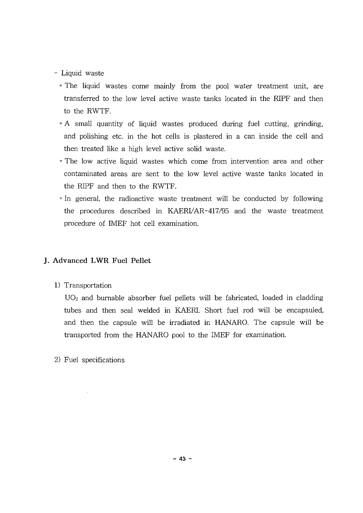- Liquid waste

- ° The liquid wastes come mainly from the pool water treatment unit, are transferred to the low level active waste tanks located in the RIPF and then to the RWTF.
- ° A small quantity of liquid wastes produced during fuel cutting, grinding, and polishing etc. in the hot cells is plastered in a can inside the cell and then treated like a high level active solid waste.
- ° The low active liquid wastes which come from intervention area and other contaminated areas are sent to the low level active waste tanks located in the RIPF and then to the RWTF.
- ° In general, the radioactive waste treatment will be conducted by following the procedures described in KAERI/AR-417/95 and the waste treatment procedure of IMEF hot cell examination.

#### **J. Advanced LWR Fuel Pellet**

#### 1) Transportation

UO2 and burnable absorber fuel pellets will be fabricated, loaded in cladding tubes and then seal welded in KAERI. Short fuel rod will be encapsuled, and then the capsule will be irradiated in HANARO. The capsule will be transported from the HANARO pool to the IMEF for examination.

2) Fuel specifications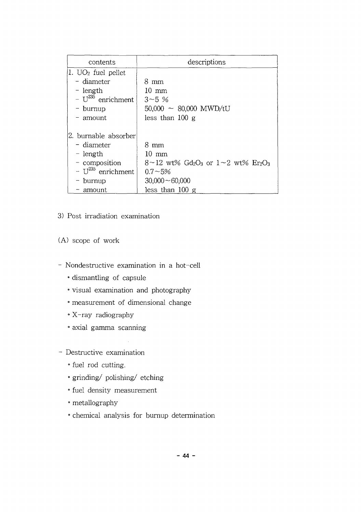| contents               | descriptions                                                                          |
|------------------------|---------------------------------------------------------------------------------------|
| 1. $UO2$ fuel pellet   |                                                                                       |
| - diameter             | 8 mm                                                                                  |
| - length               | $10 \text{ mm}$                                                                       |
| - $U^{235}$ enrichment | $3 - 5$ %                                                                             |
| - burnup               | $50,000 \sim 80,000 \text{ MWD/tU}$                                                   |
| amount                 | less than $100\ g$                                                                    |
|                        |                                                                                       |
| 2. burnable absorberl  |                                                                                       |
| - diameter             | 8 mm                                                                                  |
| – length               | $10 \text{ mm}$                                                                       |
| - composition          | $8-12$ wt% Gd <sub>2</sub> O <sub>3</sub> or $1-2$ wt% Er <sub>2</sub> O <sub>3</sub> |
| - $U^{235}$ enrichment | $0.7 - 5%$                                                                            |
| burnup                 | $30,000 - 60,000$                                                                     |
| amount                 | less than $100 g$                                                                     |

- 3) Post irradiation examination
- (A) scope of work
- Nondestructive examination in a hot-cell
	- dismantling of capsule
	- visual examination and photography
	- 0 measurement of dimensional change
	- X-ray radiography
	- axial gamma scanning
- Destructive examination
	- fuel rod cutting.
	- ° grinding/ polishing/ etching
	- · fuel density measurement
	- metallography
	- 0 chemical analysis for burnup determination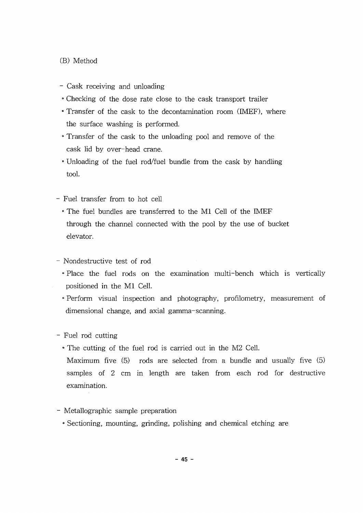#### (B) Method

- Cask receiving and unloading
- Checking of the dose rate close to the cask transport trailer
- ° Transfer of the cask to the decontamination room (IMEF), where the surface washing is performed.
- ° Transfer of the cask to the unloading pool and remove of the cask lid by over-head crane.
- ° Unloading of the fuel rod/fuel bundle from the cask by handling tool.
- Fuel transfer from to hot cell
	- The fuel bundles are transferred to the M1 Cell of the IMEF through the channel connected with the pool by the use of bucket elevator.
- Nondestructive test of rod
	- ° Place the fuel rods on the examination multi-bench which is vertically positioned in the Ml Cell.
	- ° Perform visual inspection and photography, profilometry, measurement of dimensional change, and axial gamma-scanning.

#### - Fuel rod cutting

- ° The cutting of the fuel rod is carried out in the M2 Cell.
- Maximum five (5) rods are selected from a bundle and usually five (5) samples of 2 cm in length are taken from each rod for destructive examination.
- Metallographic sample preparation
	- ° Sectioning, mounting, grinding, polishing and chemical etching are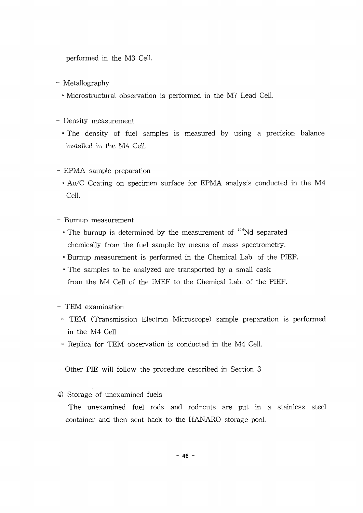performed in the M3 Cell.

- Metallography
	- Microstructural observation is performed in the M7 Lead Cell.
- Density measurement
	- The density of fuel samples is measured by using a precision balance installed in the M4 Cell.
- EPMA sample preparation
	- Au/C Coating on specimen surface for EPMA analysis conducted in the M4 Cell.
- Burnup measurement
	- $\cdot$  The burnup is determined by the measurement of  $^{148}$ Nd separated chemically from the fuel sample by means of mass spectrometry.
	- ° Burnup measurement is performed in the Chemical Lab. of the PIEF.
	- The samples to be analyzed are transported by a small cask from the M4 Cell of the IMEF to the Chemical Lab. of the PIEF.
- TEM examination
	- ° TEM (Transmission Electron Microscope) sample preparation is performed in the M4 Cell
	- 0 Replica for TEM observation is conducted in the M4 Cell.
- Other PIE will follow the procedure described in Section 3
- 4) Storage of unexamined fuels

The unexamined fuel rods and rod-cuts are put in a stainless steel container and then sent back to the HANARO storage pool.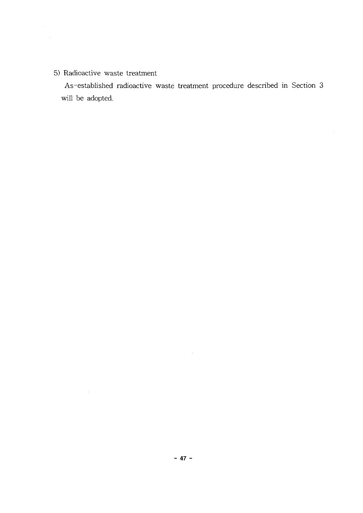5) Radioactive waste treatment

 $\sim 10^{-1}$ 

 $\mathcal{L}(\mathcal{A})$  and  $\mathcal{L}(\mathcal{A})$ 

As-established radioactive waste treatment procedure described in Section 3 will be adopted.

 $\sim 10^7$ 

 $\sim 10^6$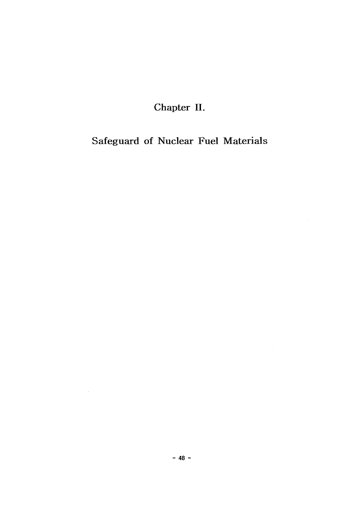Chapter II.

Safeguard of Nuclear Fuel Materials

 $\mathcal{L}_{\mathcal{A}}$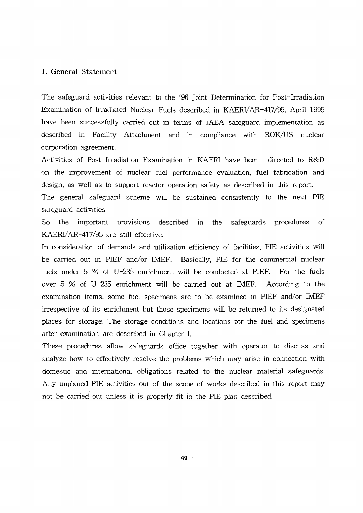#### 1. General Statement

The safeguard activities relevant to the '96 Joint Determination for Post-Irradiation Examination of Irradiated Nuclear Fuels described in KAERI/AR-417/95, April 1995 have been successfully carried out in terms of IAEA safeguard implementation as described in Facility Attachment and in compliance with ROK/US nuclear corporation agreement.

Activities of Post Irradiation Examination in KAERI have been directed to R&D on the improvement of nuclear fuel performance evaluation, fuel fabrication and design, as well as to support reactor operation safety as described in this report.

The general safeguard scheme will be sustained consistently to the next PIE safeguard activities.

So the important provisions described in the safeguards procedures of KAERI/AR-417/95 are still effective.

In consideration of demands and utilization efficiency of facilities, PIE activities will be carried out in PIEF and/or IMEF. Basically, PIE for the commercial nuclear fuels under 5 % of U-235 enrichment will be conducted at PIEF. For the fuels over 5 % of U-235 enrichment will be carried out at IMEF. According to the examination items, some fuel specimens are to be examined in PIEF and/or IMEF irrespective of its enrichment but those specimens will be returned to its designated places for storage. The storage conditions and locations for the fuel and specimens after examination are described in Chapter I.

These procedures allow safeguards office together with operator to discuss and analyze how to effectively resolve the problems which may arise in connection with domestic and international obligations related to the nuclear material safeguards. Any unplaned PIE activities out of the scope of works described in this report may not be carried out unless it is properly fit in the PIE plan described.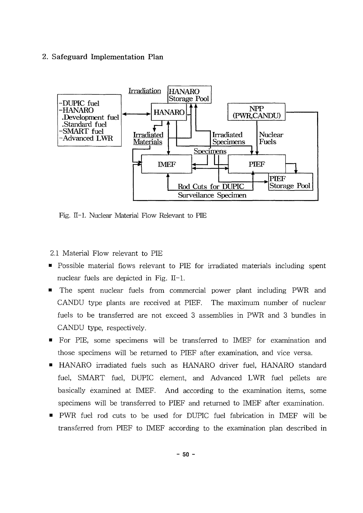#### **2. Safeguard Implementation Plan**



Fig. II-1. Nuclear Material Flow Relevant to PIE

2.1 Material Flow relevant to PIE

- Possible material flows relevant to PIE for irradiated materials including spent nuclear fuels are depicted in Fig.  $II-1$ .
- The spent nuclear fuels from commercial power plant including PWR and CANDU type plants are received at PIEF. The maximum number of nuclear fuels to be transferred are not exceed 3 assemblies in PWR and 3 bundles in CANDU type, respectively.
- For PIE, some specimens will be transferred to IMEF for examination and those specimens will be returned to PIEF after examination, and vice versa.
- HANARO irradiated fuels such as HANARO driver fuel, HANARO standard fuel, SMART fuel, DUPIC element, and Advanced LWR fuel pellets are basically examined at IMEF. And according to the examination items, some specimens will be transferred to PIEF and returned to IMEF after examination.
- PWR fuel rod cuts to be used for DUPIC fuel fabrication in IMEF will be transferred from PEEF to IMEF according to the examination plan described in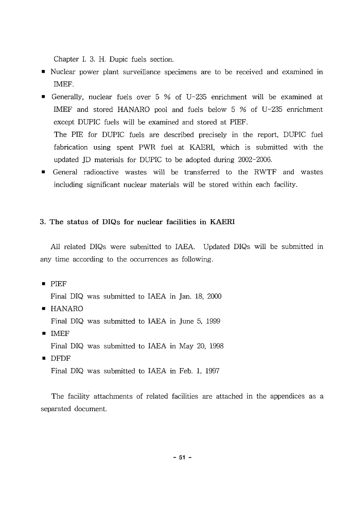Chapter I. 3. H. Dupic fuels section.

- Nuclear power plant surveillance specimens are to be received and examined in IMEF.
- Generally, nuclear fuels over 5 % of U-235 enrichment will be examined at  $\blacksquare$ IMEF and stored HANARO pool and fuels below 5 % of U-235 enrichment except DUPIC fuels will be examined and stored at PIEF. The PIE for DUPIC fuels are described precisely in the report, DUPIC fuel fabrication using spent PWR fuel at KAERI, which is submitted with the
- $\blacksquare$ General radioactive wastes will be transferred to the RWTF and wastes including significant nuclear materials will be stored within each facility.

updated JD materials for DUPIC to be adopted during 2002-2006.

#### **3. The status of DIQs for nuclear facilities in KAERI**

All related DIQs were submitted to IAEA. Updated DIQs will be submitted in any time according to the occurrences as following.

• PIEF

Final DIQ was submitted to IAEA in Jan. 18, 2000

• HANARO

Final DIQ was submitted to IAEA in June 5, 1999

• IMEF

Final DIQ was submitted to IAEA in May 20, 1998

• DFDF

Final DIQ was submitted to IAEA in Feb. 1, 1997

The facility attachments of related facilities are attached in the appendices as a separated document.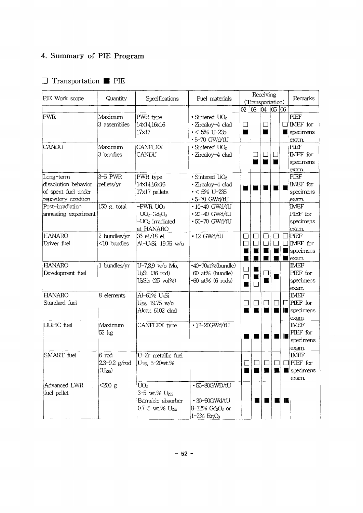### 4. Summary of PIE Program

### $\Box$  Transportation  $\blacksquare$  PIE

| $\frac{1}{6}$ $\frac{1}{6}$<br>$\overline{0}3$<br>04<br>02<br>PIEF<br>PWR type<br>Maximum<br>· Sintered UO <sub>2</sub><br>IMEF for<br>3 assemblies<br>14x14,16x16<br>- Zircaloy-4 clad<br>$\Box$<br>$\Box$<br>17x17<br>$\sim$ 5% U-235<br>specimens<br>П<br>п<br>ш<br>-5-70 GWd/tU<br>exam<br>PIEF<br>Maximum<br><b>CANFLEX</b><br>Sintered UO <sub>2</sub><br>3 bundles<br>CANDU<br>IMEF for<br>- Zircaloy-4 clad<br>ΙI<br>$\Box$<br>specimens<br>exam.<br>3-5 PWR<br>$\cdot$ Sintered UO <sub>2</sub><br>PIEF<br>PWR type<br>IMEF for<br>pellets/yr<br>14x14,16x16<br>· Zircaloy-4 clad<br>of spent fuel under<br>$\cdot$ < 5% U-235<br>specimens<br>17x17 pellets<br>repository condtion<br>•5-70 GWd/tU<br>exam.<br>Post-irradiation<br>150 g, total<br>$-PWR$ $UO2$<br><b>IMEF</b><br>- 10-40 GWd/tU<br>annealing experiment<br>$-UO2-Gd2O3$<br>· 20-40 GWd/tU<br>PIEF for<br>-UO <sub>2</sub> irradiated<br>- 50-70 GWd/tU<br>specimens<br>at HANARO<br>exam<br><b>HANARO</b><br>2 bundles/yr<br>36 el./18 el.<br>$-12$ GWd/tU<br>PIEF<br>$\Box$<br>$\overline{\phantom{a}}$<br>$\Box$<br>ப<br>Driver fuel<br>$\Box$<br>$\Box$<br>IMEF for<br>$<$ 10 bundles<br>П<br>П<br>Al-U <sub>3</sub> Si, 19.75 w/o<br>specimens<br> exam.<br>₩<br><b>HANARO</b><br>1 bundles/yr<br>U-7,8,9 w/o Mo,<br><b>IMEF</b><br>-40-70at%(bundle)<br>$\Box$<br>Development fuel<br>U <sub>3</sub> Si (36 rod)<br>-60 at% (bundle)<br>PIEF for<br>$\Box$<br>U <sub>3</sub> Si <sub>2</sub> (25 vol%)<br>$-60$ at% $(6$ rods)<br>specimens<br>exam.<br><b>HANARO</b><br>Al-61% U <sub>3</sub> Si<br><b>IMEF</b><br>8 elements<br>Standard fuel<br>U <sub>235</sub> 19.75 w/o<br>$\Box$<br>PIEF for<br>П<br>П<br>П<br>П<br>Alcan 6102 clad<br>$\blacksquare$ specimens<br>exam.<br>DUPIC fuel<br>Maximum<br>· 12-20GWd/tU<br>IMEF<br>CANFLEX type<br>PIEF for<br>52 kg<br>specimens<br>exam.<br>SMART fuel<br>6 rod<br>U-Zr metallic fuel<br><b>IMEF</b><br>2.3-9.2 g/rod<br>$\Box   \Box   \Box   \Box   \Box  $<br>U <sub>235</sub> , 5-20wt.%<br>$\blacksquare$ specimens<br>$(U_{25})$<br>exam. | PIE Work scope       | Quantity  | Specifications  | Fuel materials | Receiving<br>(Transportation) |  |  |  |  | Remarks |
|-------------------------------------------------------------------------------------------------------------------------------------------------------------------------------------------------------------------------------------------------------------------------------------------------------------------------------------------------------------------------------------------------------------------------------------------------------------------------------------------------------------------------------------------------------------------------------------------------------------------------------------------------------------------------------------------------------------------------------------------------------------------------------------------------------------------------------------------------------------------------------------------------------------------------------------------------------------------------------------------------------------------------------------------------------------------------------------------------------------------------------------------------------------------------------------------------------------------------------------------------------------------------------------------------------------------------------------------------------------------------------------------------------------------------------------------------------------------------------------------------------------------------------------------------------------------------------------------------------------------------------------------------------------------------------------------------------------------------------------------------------------------------------------------------------------------------------------------------------------------------------------------------------------------------------------------------------------------------------------------------------------------------------------------------------------------------------------|----------------------|-----------|-----------------|----------------|-------------------------------|--|--|--|--|---------|
|                                                                                                                                                                                                                                                                                                                                                                                                                                                                                                                                                                                                                                                                                                                                                                                                                                                                                                                                                                                                                                                                                                                                                                                                                                                                                                                                                                                                                                                                                                                                                                                                                                                                                                                                                                                                                                                                                                                                                                                                                                                                                     |                      |           |                 |                |                               |  |  |  |  |         |
|                                                                                                                                                                                                                                                                                                                                                                                                                                                                                                                                                                                                                                                                                                                                                                                                                                                                                                                                                                                                                                                                                                                                                                                                                                                                                                                                                                                                                                                                                                                                                                                                                                                                                                                                                                                                                                                                                                                                                                                                                                                                                     | PWR                  |           |                 |                |                               |  |  |  |  |         |
|                                                                                                                                                                                                                                                                                                                                                                                                                                                                                                                                                                                                                                                                                                                                                                                                                                                                                                                                                                                                                                                                                                                                                                                                                                                                                                                                                                                                                                                                                                                                                                                                                                                                                                                                                                                                                                                                                                                                                                                                                                                                                     |                      |           |                 |                |                               |  |  |  |  |         |
|                                                                                                                                                                                                                                                                                                                                                                                                                                                                                                                                                                                                                                                                                                                                                                                                                                                                                                                                                                                                                                                                                                                                                                                                                                                                                                                                                                                                                                                                                                                                                                                                                                                                                                                                                                                                                                                                                                                                                                                                                                                                                     |                      |           |                 |                |                               |  |  |  |  |         |
|                                                                                                                                                                                                                                                                                                                                                                                                                                                                                                                                                                                                                                                                                                                                                                                                                                                                                                                                                                                                                                                                                                                                                                                                                                                                                                                                                                                                                                                                                                                                                                                                                                                                                                                                                                                                                                                                                                                                                                                                                                                                                     |                      |           |                 |                |                               |  |  |  |  |         |
|                                                                                                                                                                                                                                                                                                                                                                                                                                                                                                                                                                                                                                                                                                                                                                                                                                                                                                                                                                                                                                                                                                                                                                                                                                                                                                                                                                                                                                                                                                                                                                                                                                                                                                                                                                                                                                                                                                                                                                                                                                                                                     | CANDU                |           |                 |                |                               |  |  |  |  |         |
|                                                                                                                                                                                                                                                                                                                                                                                                                                                                                                                                                                                                                                                                                                                                                                                                                                                                                                                                                                                                                                                                                                                                                                                                                                                                                                                                                                                                                                                                                                                                                                                                                                                                                                                                                                                                                                                                                                                                                                                                                                                                                     |                      |           |                 |                |                               |  |  |  |  |         |
|                                                                                                                                                                                                                                                                                                                                                                                                                                                                                                                                                                                                                                                                                                                                                                                                                                                                                                                                                                                                                                                                                                                                                                                                                                                                                                                                                                                                                                                                                                                                                                                                                                                                                                                                                                                                                                                                                                                                                                                                                                                                                     |                      |           |                 |                |                               |  |  |  |  |         |
|                                                                                                                                                                                                                                                                                                                                                                                                                                                                                                                                                                                                                                                                                                                                                                                                                                                                                                                                                                                                                                                                                                                                                                                                                                                                                                                                                                                                                                                                                                                                                                                                                                                                                                                                                                                                                                                                                                                                                                                                                                                                                     |                      |           |                 |                |                               |  |  |  |  |         |
|                                                                                                                                                                                                                                                                                                                                                                                                                                                                                                                                                                                                                                                                                                                                                                                                                                                                                                                                                                                                                                                                                                                                                                                                                                                                                                                                                                                                                                                                                                                                                                                                                                                                                                                                                                                                                                                                                                                                                                                                                                                                                     | Long-term            |           |                 |                |                               |  |  |  |  |         |
|                                                                                                                                                                                                                                                                                                                                                                                                                                                                                                                                                                                                                                                                                                                                                                                                                                                                                                                                                                                                                                                                                                                                                                                                                                                                                                                                                                                                                                                                                                                                                                                                                                                                                                                                                                                                                                                                                                                                                                                                                                                                                     | dissolution behavior |           |                 |                |                               |  |  |  |  |         |
|                                                                                                                                                                                                                                                                                                                                                                                                                                                                                                                                                                                                                                                                                                                                                                                                                                                                                                                                                                                                                                                                                                                                                                                                                                                                                                                                                                                                                                                                                                                                                                                                                                                                                                                                                                                                                                                                                                                                                                                                                                                                                     |                      |           |                 |                |                               |  |  |  |  |         |
|                                                                                                                                                                                                                                                                                                                                                                                                                                                                                                                                                                                                                                                                                                                                                                                                                                                                                                                                                                                                                                                                                                                                                                                                                                                                                                                                                                                                                                                                                                                                                                                                                                                                                                                                                                                                                                                                                                                                                                                                                                                                                     |                      |           |                 |                |                               |  |  |  |  |         |
|                                                                                                                                                                                                                                                                                                                                                                                                                                                                                                                                                                                                                                                                                                                                                                                                                                                                                                                                                                                                                                                                                                                                                                                                                                                                                                                                                                                                                                                                                                                                                                                                                                                                                                                                                                                                                                                                                                                                                                                                                                                                                     |                      |           |                 |                |                               |  |  |  |  |         |
|                                                                                                                                                                                                                                                                                                                                                                                                                                                                                                                                                                                                                                                                                                                                                                                                                                                                                                                                                                                                                                                                                                                                                                                                                                                                                                                                                                                                                                                                                                                                                                                                                                                                                                                                                                                                                                                                                                                                                                                                                                                                                     |                      |           |                 |                |                               |  |  |  |  |         |
|                                                                                                                                                                                                                                                                                                                                                                                                                                                                                                                                                                                                                                                                                                                                                                                                                                                                                                                                                                                                                                                                                                                                                                                                                                                                                                                                                                                                                                                                                                                                                                                                                                                                                                                                                                                                                                                                                                                                                                                                                                                                                     |                      |           |                 |                |                               |  |  |  |  |         |
|                                                                                                                                                                                                                                                                                                                                                                                                                                                                                                                                                                                                                                                                                                                                                                                                                                                                                                                                                                                                                                                                                                                                                                                                                                                                                                                                                                                                                                                                                                                                                                                                                                                                                                                                                                                                                                                                                                                                                                                                                                                                                     |                      |           |                 |                |                               |  |  |  |  |         |
|                                                                                                                                                                                                                                                                                                                                                                                                                                                                                                                                                                                                                                                                                                                                                                                                                                                                                                                                                                                                                                                                                                                                                                                                                                                                                                                                                                                                                                                                                                                                                                                                                                                                                                                                                                                                                                                                                                                                                                                                                                                                                     |                      |           |                 |                |                               |  |  |  |  |         |
|                                                                                                                                                                                                                                                                                                                                                                                                                                                                                                                                                                                                                                                                                                                                                                                                                                                                                                                                                                                                                                                                                                                                                                                                                                                                                                                                                                                                                                                                                                                                                                                                                                                                                                                                                                                                                                                                                                                                                                                                                                                                                     |                      |           |                 |                |                               |  |  |  |  |         |
|                                                                                                                                                                                                                                                                                                                                                                                                                                                                                                                                                                                                                                                                                                                                                                                                                                                                                                                                                                                                                                                                                                                                                                                                                                                                                                                                                                                                                                                                                                                                                                                                                                                                                                                                                                                                                                                                                                                                                                                                                                                                                     |                      |           |                 |                |                               |  |  |  |  |         |
|                                                                                                                                                                                                                                                                                                                                                                                                                                                                                                                                                                                                                                                                                                                                                                                                                                                                                                                                                                                                                                                                                                                                                                                                                                                                                                                                                                                                                                                                                                                                                                                                                                                                                                                                                                                                                                                                                                                                                                                                                                                                                     |                      |           |                 |                |                               |  |  |  |  |         |
|                                                                                                                                                                                                                                                                                                                                                                                                                                                                                                                                                                                                                                                                                                                                                                                                                                                                                                                                                                                                                                                                                                                                                                                                                                                                                                                                                                                                                                                                                                                                                                                                                                                                                                                                                                                                                                                                                                                                                                                                                                                                                     |                      |           |                 |                |                               |  |  |  |  |         |
|                                                                                                                                                                                                                                                                                                                                                                                                                                                                                                                                                                                                                                                                                                                                                                                                                                                                                                                                                                                                                                                                                                                                                                                                                                                                                                                                                                                                                                                                                                                                                                                                                                                                                                                                                                                                                                                                                                                                                                                                                                                                                     |                      |           |                 |                |                               |  |  |  |  |         |
|                                                                                                                                                                                                                                                                                                                                                                                                                                                                                                                                                                                                                                                                                                                                                                                                                                                                                                                                                                                                                                                                                                                                                                                                                                                                                                                                                                                                                                                                                                                                                                                                                                                                                                                                                                                                                                                                                                                                                                                                                                                                                     |                      |           |                 |                |                               |  |  |  |  |         |
|                                                                                                                                                                                                                                                                                                                                                                                                                                                                                                                                                                                                                                                                                                                                                                                                                                                                                                                                                                                                                                                                                                                                                                                                                                                                                                                                                                                                                                                                                                                                                                                                                                                                                                                                                                                                                                                                                                                                                                                                                                                                                     |                      |           |                 |                |                               |  |  |  |  |         |
|                                                                                                                                                                                                                                                                                                                                                                                                                                                                                                                                                                                                                                                                                                                                                                                                                                                                                                                                                                                                                                                                                                                                                                                                                                                                                                                                                                                                                                                                                                                                                                                                                                                                                                                                                                                                                                                                                                                                                                                                                                                                                     |                      |           |                 |                |                               |  |  |  |  |         |
|                                                                                                                                                                                                                                                                                                                                                                                                                                                                                                                                                                                                                                                                                                                                                                                                                                                                                                                                                                                                                                                                                                                                                                                                                                                                                                                                                                                                                                                                                                                                                                                                                                                                                                                                                                                                                                                                                                                                                                                                                                                                                     |                      |           |                 |                |                               |  |  |  |  |         |
|                                                                                                                                                                                                                                                                                                                                                                                                                                                                                                                                                                                                                                                                                                                                                                                                                                                                                                                                                                                                                                                                                                                                                                                                                                                                                                                                                                                                                                                                                                                                                                                                                                                                                                                                                                                                                                                                                                                                                                                                                                                                                     |                      |           |                 |                |                               |  |  |  |  |         |
|                                                                                                                                                                                                                                                                                                                                                                                                                                                                                                                                                                                                                                                                                                                                                                                                                                                                                                                                                                                                                                                                                                                                                                                                                                                                                                                                                                                                                                                                                                                                                                                                                                                                                                                                                                                                                                                                                                                                                                                                                                                                                     |                      |           |                 |                |                               |  |  |  |  |         |
|                                                                                                                                                                                                                                                                                                                                                                                                                                                                                                                                                                                                                                                                                                                                                                                                                                                                                                                                                                                                                                                                                                                                                                                                                                                                                                                                                                                                                                                                                                                                                                                                                                                                                                                                                                                                                                                                                                                                                                                                                                                                                     |                      |           |                 |                |                               |  |  |  |  |         |
|                                                                                                                                                                                                                                                                                                                                                                                                                                                                                                                                                                                                                                                                                                                                                                                                                                                                                                                                                                                                                                                                                                                                                                                                                                                                                                                                                                                                                                                                                                                                                                                                                                                                                                                                                                                                                                                                                                                                                                                                                                                                                     |                      |           |                 |                |                               |  |  |  |  |         |
|                                                                                                                                                                                                                                                                                                                                                                                                                                                                                                                                                                                                                                                                                                                                                                                                                                                                                                                                                                                                                                                                                                                                                                                                                                                                                                                                                                                                                                                                                                                                                                                                                                                                                                                                                                                                                                                                                                                                                                                                                                                                                     |                      |           |                 |                |                               |  |  |  |  |         |
|                                                                                                                                                                                                                                                                                                                                                                                                                                                                                                                                                                                                                                                                                                                                                                                                                                                                                                                                                                                                                                                                                                                                                                                                                                                                                                                                                                                                                                                                                                                                                                                                                                                                                                                                                                                                                                                                                                                                                                                                                                                                                     |                      |           |                 |                |                               |  |  |  |  |         |
|                                                                                                                                                                                                                                                                                                                                                                                                                                                                                                                                                                                                                                                                                                                                                                                                                                                                                                                                                                                                                                                                                                                                                                                                                                                                                                                                                                                                                                                                                                                                                                                                                                                                                                                                                                                                                                                                                                                                                                                                                                                                                     |                      |           |                 |                |                               |  |  |  |  |         |
|                                                                                                                                                                                                                                                                                                                                                                                                                                                                                                                                                                                                                                                                                                                                                                                                                                                                                                                                                                                                                                                                                                                                                                                                                                                                                                                                                                                                                                                                                                                                                                                                                                                                                                                                                                                                                                                                                                                                                                                                                                                                                     |                      |           |                 |                |                               |  |  |  |  |         |
|                                                                                                                                                                                                                                                                                                                                                                                                                                                                                                                                                                                                                                                                                                                                                                                                                                                                                                                                                                                                                                                                                                                                                                                                                                                                                                                                                                                                                                                                                                                                                                                                                                                                                                                                                                                                                                                                                                                                                                                                                                                                                     |                      |           |                 |                |                               |  |  |  |  |         |
|                                                                                                                                                                                                                                                                                                                                                                                                                                                                                                                                                                                                                                                                                                                                                                                                                                                                                                                                                                                                                                                                                                                                                                                                                                                                                                                                                                                                                                                                                                                                                                                                                                                                                                                                                                                                                                                                                                                                                                                                                                                                                     | Advanced LWR         | $<$ 200 g | UO <sub>2</sub> | ·50-80GWD/tU   |                               |  |  |  |  |         |
| fuel pellet<br>3-5 wt.% U <sub>235</sub>                                                                                                                                                                                                                                                                                                                                                                                                                                                                                                                                                                                                                                                                                                                                                                                                                                                                                                                                                                                                                                                                                                                                                                                                                                                                                                                                                                                                                                                                                                                                                                                                                                                                                                                                                                                                                                                                                                                                                                                                                                            |                      |           |                 |                |                               |  |  |  |  |         |
| Burnable absorber<br>• 30-60GWd/tU<br>Ш                                                                                                                                                                                                                                                                                                                                                                                                                                                                                                                                                                                                                                                                                                                                                                                                                                                                                                                                                                                                                                                                                                                                                                                                                                                                                                                                                                                                                                                                                                                                                                                                                                                                                                                                                                                                                                                                                                                                                                                                                                             |                      |           |                 |                |                               |  |  |  |  |         |
| $0.7 - 5$ wt.% $U_{235}$<br>8-12% Gd2O3 or                                                                                                                                                                                                                                                                                                                                                                                                                                                                                                                                                                                                                                                                                                                                                                                                                                                                                                                                                                                                                                                                                                                                                                                                                                                                                                                                                                                                                                                                                                                                                                                                                                                                                                                                                                                                                                                                                                                                                                                                                                          |                      |           |                 |                |                               |  |  |  |  |         |
| $1 - 2\%$ Er <sub>2</sub> O <sub>3</sub>                                                                                                                                                                                                                                                                                                                                                                                                                                                                                                                                                                                                                                                                                                                                                                                                                                                                                                                                                                                                                                                                                                                                                                                                                                                                                                                                                                                                                                                                                                                                                                                                                                                                                                                                                                                                                                                                                                                                                                                                                                            |                      |           |                 |                |                               |  |  |  |  |         |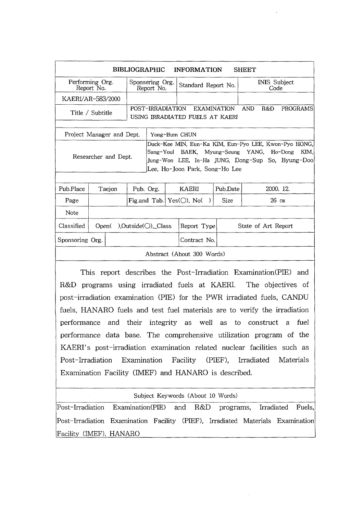| <b>BIBLIOGRAPHIC</b><br><b>INFORMATION</b><br><b>SHEET</b>                                                                                                                                                        |                               |                  |                     |                                                 |                             |            |           |                 |
|-------------------------------------------------------------------------------------------------------------------------------------------------------------------------------------------------------------------|-------------------------------|------------------|---------------------|-------------------------------------------------|-----------------------------|------------|-----------|-----------------|
| Performing Org.<br>Report No.                                                                                                                                                                                     | Sponsering Org.<br>Report No. |                  | Standard Report No. |                                                 | <b>INIS Subject</b><br>Code |            |           |                 |
| KAERI/AR-583/2000                                                                                                                                                                                                 |                               |                  |                     |                                                 |                             |            |           |                 |
| Title / Subtitle                                                                                                                                                                                                  |                               | POST-IRRADIATION |                     | USING IRRADIATED FUELS AT KAERI                 | EXAMINATION                 | <b>AND</b> | R&D.      | <b>PROGRAMS</b> |
| Project Manager and Dept.<br>Yong-Bum CHUN                                                                                                                                                                        |                               |                  |                     |                                                 |                             |            |           |                 |
| Duck-Kee MIN, Eun-Ka KIM, Eun-Pvo LEE, Kwon-Pvo HONG,<br>Sang-Youl BAEK, Myung-Seung YANG, Ho-Dong<br>Researcher and Dept.<br>Jung-Won LEE, In-Ha JUNG, Dong-Sup So, Byung-Doo<br> Lee. Ho-Joon Park. Song-Ho Lee |                               |                  |                     |                                                 |                             |            | KIM.      |                 |
| Pub.Place<br>Taejon                                                                                                                                                                                               |                               | Pub. Org.        |                     | KAERI                                           | Pub.Date                    |            | 2000. 12. |                 |
| Page                                                                                                                                                                                                              |                               |                  |                     | Fig.and Tab. Yes $(\bigcirc)$ , No $(\bigcirc)$ | Size                        |            |           | $26$ cm         |
| Note                                                                                                                                                                                                              |                               |                  |                     |                                                 |                             |            |           |                 |
| Classified<br>Open(),Outside( $\bigcirc$ ), Class                                                                                                                                                                 | Report Type                   |                  |                     | State of Art Report                             |                             |            |           |                 |
| Sponsoring Org.<br>Contract No.                                                                                                                                                                                   |                               |                  |                     |                                                 |                             |            |           |                 |
| Abstract (About 300 Words)                                                                                                                                                                                        |                               |                  |                     |                                                 |                             |            |           |                 |

This report describes the Post-Irradiation Examination (PIE) and R&D programs using irradiated fuels at KAERI. The objectives of post-irradiation examination (PIE) for the PWR irradiated fuels, CANDU fuels, HANARO fuels and test fuel materials are to verify the irradiation performance and their integrity as well as to construct a fuel performance data base. The comprehensive utilization program of the KAERI's post-irradiation examination related nuclear facilities such as Post-Irradiation Examination Facility (PIEF), Irradiated Materials Examination Facility (IMEF) and HANARO is described.

Subject Keywords (About 10 Words)

Post-Irradiation Examination(PIE) and R&D programs, Irradiated Fuels, Post-Irradiation Examination Facility (PIEF), Irradiated Materials Examination Facility (IMEF), HANARO